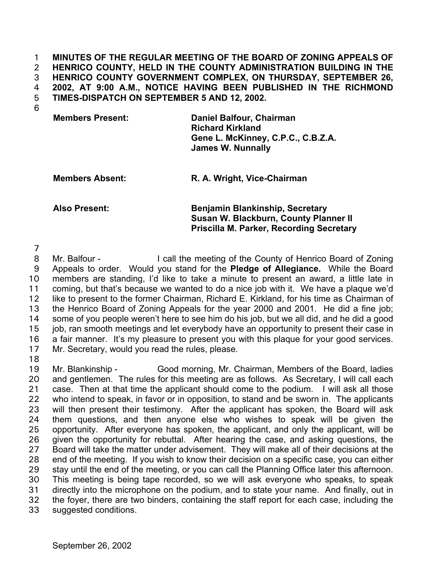**MINUTES OF THE REGULAR MEETING OF THE BOARD OF ZONING APPEALS OF HENRICO COUNTY, HELD IN THE COUNTY ADMINISTRATION BUILDING IN THE HENRICO COUNTY GOVERNMENT COMPLEX, ON THURSDAY, SEPTEMBER 26, 2002, AT 9:00 A.M., NOTICE HAVING BEEN PUBLISHED IN THE RICHMOND TIMES-DISPATCH ON SEPTEMBER 5 AND 12, 2002.**  1 2 3 4 5

6

| <b>Members Present:</b> | Daniel Balfour, Chairman<br><b>Richard Kirkland</b>            |
|-------------------------|----------------------------------------------------------------|
|                         | Gene L. McKinney, C.P.C., C.B.Z.A.<br><b>James W. Nunnally</b> |

**Members Absent: R. A. Wright, Vice-Chairman** 

## **Also Present: Benjamin Blankinship, Secretary Susan W. Blackburn, County Planner II Priscilla M. Parker, Recording Secretary**

7

8 9 10 11 12 13 14 15 16 17 Mr. Balfour - I call the meeting of the County of Henrico Board of Zoning Appeals to order. Would you stand for the **Pledge of Allegiance.** While the Board members are standing, I'd like to take a minute to present an award, a little late in coming, but that's because we wanted to do a nice job with it. We have a plaque we'd like to present to the former Chairman, Richard E. Kirkland, for his time as Chairman of the Henrico Board of Zoning Appeals for the year 2000 and 2001. He did a fine job; some of you people weren't here to see him do his job, but we all did, and he did a good job, ran smooth meetings and let everybody have an opportunity to present their case in a fair manner. It's my pleasure to present you with this plaque for your good services. Mr. Secretary, would you read the rules, please.

18

19 20 21 22 23 24 25 26 27 28 29 30 31 32 33 Mr. Blankinship - Good morning, Mr. Chairman, Members of the Board, ladies and gentlemen. The rules for this meeting are as follows. As Secretary, I will call each case. Then at that time the applicant should come to the podium. I will ask all those who intend to speak, in favor or in opposition, to stand and be sworn in. The applicants will then present their testimony. After the applicant has spoken, the Board will ask them questions, and then anyone else who wishes to speak will be given the opportunity. After everyone has spoken, the applicant, and only the applicant, will be given the opportunity for rebuttal. After hearing the case, and asking questions, the Board will take the matter under advisement. They will make all of their decisions at the end of the meeting. If you wish to know their decision on a specific case, you can either stay until the end of the meeting, or you can call the Planning Office later this afternoon. This meeting is being tape recorded, so we will ask everyone who speaks, to speak directly into the microphone on the podium, and to state your name. And finally, out in the foyer, there are two binders, containing the staff report for each case, including the suggested conditions.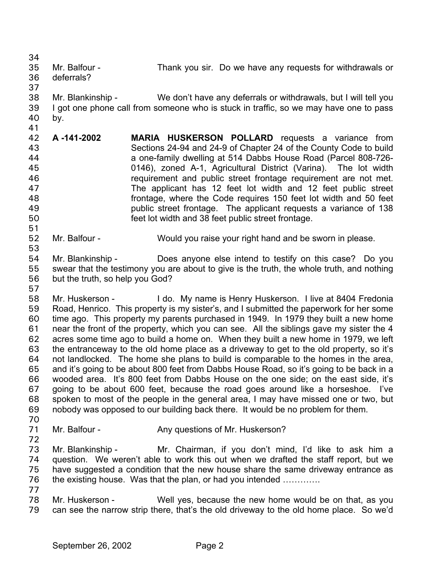34 35 36 Mr. Balfour - Thank you sir. Do we have any requests for withdrawals or deferrals?

37

51

53

57

- 
- 38 39 40 Mr. Blankinship - We don't have any deferrals or withdrawals, but I will tell you I got one phone call from someone who is stuck in traffic, so we may have one to pass by.
- 41 42 43 44 45 46 47 48 49 50 **A -141-2002 MARIA HUSKERSON POLLARD** requests a variance from Sections 24-94 and 24-9 of Chapter 24 of the County Code to build a one-family dwelling at 514 Dabbs House Road (Parcel 808-726- 0146), zoned A-1, Agricultural District (Varina). The lot width requirement and public street frontage requirement are not met. The applicant has 12 feet lot width and 12 feet public street frontage, where the Code requires 150 feet lot width and 50 feet public street frontage. The applicant requests a variance of 138 feet lot width and 38 feet public street frontage.
- 52 Mr. Balfour - Would you raise your right hand and be sworn in please.
- 54 55 56 Mr. Blankinship - Does anyone else intend to testify on this case? Do you swear that the testimony you are about to give is the truth, the whole truth, and nothing but the truth, so help you God?
- 58 59 60 61 62 63 64 65 66 67 68 69 70 Mr. Huskerson - I do. My name is Henry Huskerson. I live at 8404 Fredonia Road, Henrico. This property is my sister's, and I submitted the paperwork for her some time ago. This property my parents purchased in 1949. In 1979 they built a new home near the front of the property, which you can see. All the siblings gave my sister the 4 acres some time ago to build a home on. When they built a new home in 1979, we left the entranceway to the old home place as a driveway to get to the old property, so it's not landlocked. The home she plans to build is comparable to the homes in the area, and it's going to be about 800 feet from Dabbs House Road, so it's going to be back in a wooded area. It's 800 feet from Dabbs House on the one side; on the east side, it's going to be about 600 feet, because the road goes around like a horseshoe. I've spoken to most of the people in the general area, I may have missed one or two, but nobody was opposed to our building back there. It would be no problem for them.
- 71 Mr. Balfour - Any questions of Mr. Huskerson?
- 72
- 
- 73 74 75 76 Mr. Blankinship - Mr. Chairman, if you don't mind, I'd like to ask him a question. We weren't able to work this out when we drafted the staff report, but we have suggested a condition that the new house share the same driveway entrance as the existing house. Was that the plan, or had you intended ………….
- 77
- 78 79 Mr. Huskerson - Well yes, because the new home would be on that, as you can see the narrow strip there, that's the old driveway to the old home place. So we'd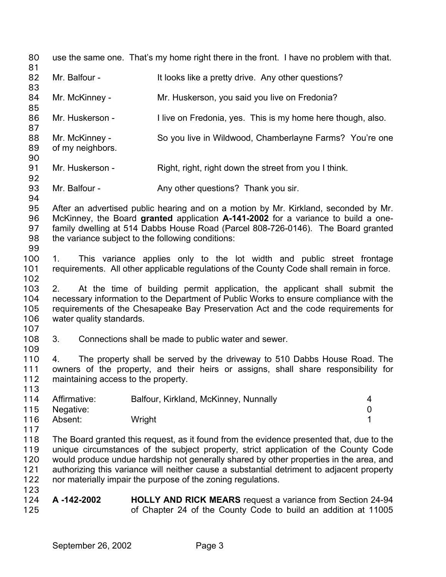80 use the same one. That's my home right there in the front. I have no problem with that. 81 82 83 84 85 86 87 88 89 90 91 92 93 94 95 96 97 98 99 100 101 102 103 104 105 106 107 108 109 110 111 112 113 114 115 116 117 118 119 120 121 122 123 124 125 Mr. Balfour - It looks like a pretty drive. Any other questions? Mr. McKinney - The Mr. Huskerson, you said you live on Fredonia? Mr. Huskerson - I live on Fredonia, yes. This is my home here though, also. Mr. McKinney - So you live in Wildwood, Chamberlayne Farms? You're one of my neighbors. Mr. Huskerson - Right, right, right down the street from you I think. Mr. Balfour - Any other questions? Thank you sir. After an advertised public hearing and on a motion by Mr. Kirkland, seconded by Mr. McKinney, the Board **granted** application **A-141-2002** for a variance to build a onefamily dwelling at 514 Dabbs House Road (Parcel 808-726-0146). The Board granted the variance subject to the following conditions: 1. This variance applies only to the lot width and public street frontage requirements. All other applicable regulations of the County Code shall remain in force. 2. At the time of building permit application, the applicant shall submit the necessary information to the Department of Public Works to ensure compliance with the requirements of the Chesapeake Bay Preservation Act and the code requirements for water quality standards. 3. Connections shall be made to public water and sewer. 4. The property shall be served by the driveway to 510 Dabbs House Road. The owners of the property, and their heirs or assigns, shall share responsibility for maintaining access to the property. Affirmative: Balfour, Kirkland, McKinney, Nunnally 4 Negative: 0 Absent: Wright 1 The Board granted this request, as it found from the evidence presented that, due to the unique circumstances of the subject property, strict application of the County Code would produce undue hardship not generally shared by other properties in the area, and authorizing this variance will neither cause a substantial detriment to adjacent property nor materially impair the purpose of the zoning regulations. **A -142-2002 HOLLY AND RICK MEARS** request a variance from Section 24-94 of Chapter 24 of the County Code to build an addition at 11005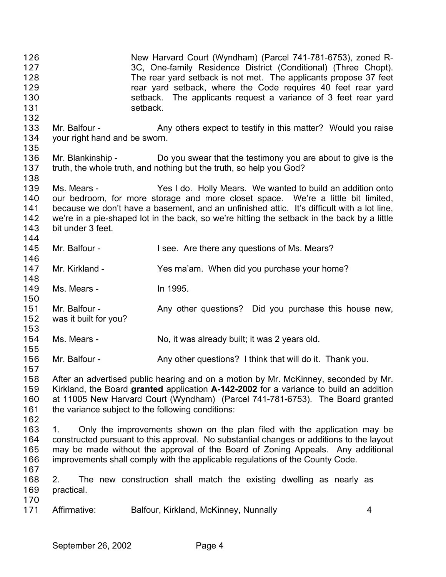New Harvard Court (Wyndham) (Parcel 741-781-6753), zoned R-3C, One-family Residence District (Conditional) (Three Chopt). The rear yard setback is not met. The applicants propose 37 feet rear yard setback, where the Code requires 40 feet rear yard setback. The applicants request a variance of 3 feet rear yard setback. 126 127 128 129 130 131 132 133 134 135 136 137 138 139 140 141 142 143 144 145 146 147 148 149 150 151 152 153 154 155 156 157 158 159 160 161 162 163 164 165 166 167 168 169 170 171 Mr. Balfour - Any others expect to testify in this matter? Would you raise your right hand and be sworn. Mr. Blankinship - Do you swear that the testimony you are about to give is the truth, the whole truth, and nothing but the truth, so help you God? Ms. Mears - Yes I do. Holly Mears. We wanted to build an addition onto our bedroom, for more storage and more closet space. We're a little bit limited, because we don't have a basement, and an unfinished attic. It's difficult with a lot line, we're in a pie-shaped lot in the back, so we're hitting the setback in the back by a little bit under 3 feet. Mr. Balfour - I see. Are there any questions of Ms. Mears? Mr. Kirkland - The Yes ma'am. When did you purchase your home? Ms. Mears - In 1995. Mr. Balfour - Any other questions? Did you purchase this house new, was it built for you? Ms. Mears - No, it was already built; it was 2 years old. Mr. Balfour - Any other questions? I think that will do it. Thank you. After an advertised public hearing and on a motion by Mr. McKinney, seconded by Mr. Kirkland, the Board **granted** application **A-142-2002** for a variance to build an addition at 11005 New Harvard Court (Wyndham) (Parcel 741-781-6753). The Board granted the variance subject to the following conditions: 1. Only the improvements shown on the plan filed with the application may be constructed pursuant to this approval. No substantial changes or additions to the layout may be made without the approval of the Board of Zoning Appeals. Any additional improvements shall comply with the applicable regulations of the County Code. 2. The new construction shall match the existing dwelling as nearly as practical. Affirmative: Balfour, Kirkland, McKinney, Nunnally 4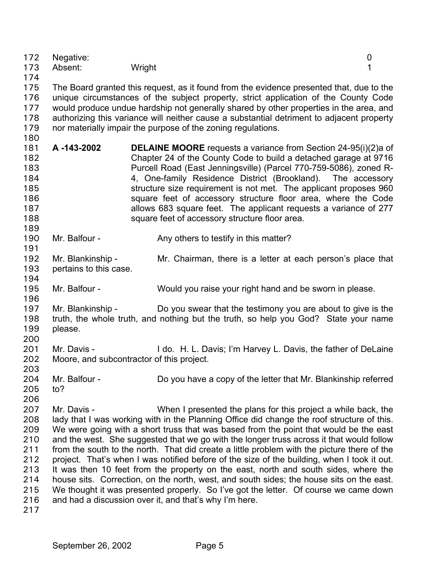| 172<br>173<br>174                                                         | Negative:<br>Absent:                        | Wright                                                                                                                                                                                                                                                                                                                                                                                                                                                                                                                                                                                                                                                                                                                                                                                                                                                                              | 0<br>1 |
|---------------------------------------------------------------------------|---------------------------------------------|-------------------------------------------------------------------------------------------------------------------------------------------------------------------------------------------------------------------------------------------------------------------------------------------------------------------------------------------------------------------------------------------------------------------------------------------------------------------------------------------------------------------------------------------------------------------------------------------------------------------------------------------------------------------------------------------------------------------------------------------------------------------------------------------------------------------------------------------------------------------------------------|--------|
| 175<br>176<br>177<br>178<br>179<br>180                                    |                                             | The Board granted this request, as it found from the evidence presented that, due to the<br>unique circumstances of the subject property, strict application of the County Code<br>would produce undue hardship not generally shared by other properties in the area, and<br>authorizing this variance will neither cause a substantial detriment to adjacent property<br>nor materially impair the purpose of the zoning regulations.                                                                                                                                                                                                                                                                                                                                                                                                                                              |        |
| 181<br>182<br>183<br>184<br>185<br>186<br>187<br>188<br>189               | A-143-2002                                  | <b>DELAINE MOORE</b> requests a variance from Section 24-95(i)(2)a of<br>Chapter 24 of the County Code to build a detached garage at 9716<br>Purcell Road (East Jenningsville) (Parcel 770-759-5086), zoned R-<br>4, One-family Residence District (Brookland). The accessory<br>structure size requirement is not met. The applicant proposes 960<br>square feet of accessory structure floor area, where the Code<br>allows 683 square feet. The applicant requests a variance of 277<br>square feet of accessory structure floor area.                                                                                                                                                                                                                                                                                                                                           |        |
| 190<br>191                                                                | Mr. Balfour -                               | Any others to testify in this matter?                                                                                                                                                                                                                                                                                                                                                                                                                                                                                                                                                                                                                                                                                                                                                                                                                                               |        |
| 192<br>193<br>194                                                         | Mr. Blankinship -<br>pertains to this case. | Mr. Chairman, there is a letter at each person's place that                                                                                                                                                                                                                                                                                                                                                                                                                                                                                                                                                                                                                                                                                                                                                                                                                         |        |
| 195<br>196                                                                | Mr. Balfour -                               | Would you raise your right hand and be sworn in please.                                                                                                                                                                                                                                                                                                                                                                                                                                                                                                                                                                                                                                                                                                                                                                                                                             |        |
| 197<br>198<br>199<br>200                                                  | Mr. Blankinship -<br>please.                | Do you swear that the testimony you are about to give is the<br>truth, the whole truth, and nothing but the truth, so help you God? State your name                                                                                                                                                                                                                                                                                                                                                                                                                                                                                                                                                                                                                                                                                                                                 |        |
| 201<br>202<br>203                                                         | Mr. Davis -                                 | I do. H. L. Davis; I'm Harvey L. Davis, the father of DeLaine<br>Moore, and subcontractor of this project.                                                                                                                                                                                                                                                                                                                                                                                                                                                                                                                                                                                                                                                                                                                                                                          |        |
| 204<br>205<br>206                                                         | Mr. Balfour -<br>to?                        | Do you have a copy of the letter that Mr. Blankinship referred                                                                                                                                                                                                                                                                                                                                                                                                                                                                                                                                                                                                                                                                                                                                                                                                                      |        |
| 207<br>208<br>209<br>210<br>211<br>212<br>213<br>214<br>215<br>216<br>217 | Mr. Davis -                                 | When I presented the plans for this project a while back, the<br>lady that I was working with in the Planning Office did change the roof structure of this.<br>We were going with a short truss that was based from the point that would be the east<br>and the west. She suggested that we go with the longer truss across it that would follow<br>from the south to the north. That did create a little problem with the picture there of the<br>project. That's when I was notified before of the size of the building, when I took it out.<br>It was then 10 feet from the property on the east, north and south sides, where the<br>house sits. Correction, on the north, west, and south sides; the house sits on the east.<br>We thought it was presented properly. So I've got the letter. Of course we came down<br>and had a discussion over it, and that's why I'm here. |        |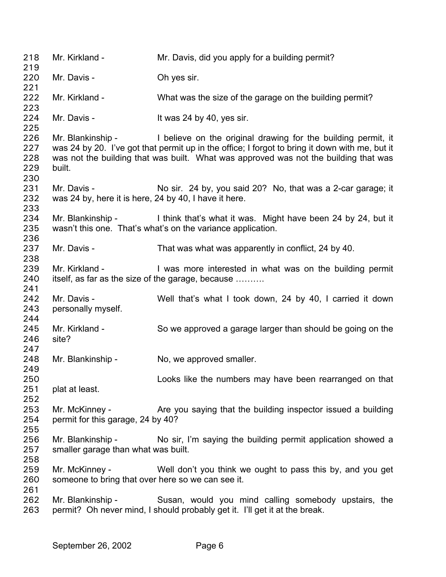| 218<br>219               | Mr. Kirkland -                                                       | Mr. Davis, did you apply for a building permit?                                                                                                                                                                                                                           |
|--------------------------|----------------------------------------------------------------------|---------------------------------------------------------------------------------------------------------------------------------------------------------------------------------------------------------------------------------------------------------------------------|
| 220<br>221               | Mr. Davis -                                                          | Oh yes sir.                                                                                                                                                                                                                                                               |
| 222<br>223               | Mr. Kirkland -                                                       | What was the size of the garage on the building permit?                                                                                                                                                                                                                   |
| 224<br>225               | Mr. Davis -                                                          | It was 24 by 40, yes sir.                                                                                                                                                                                                                                                 |
| 226<br>227<br>228<br>229 | built.                                                               | Mr. Blankinship - I believe on the original drawing for the building permit, it<br>was 24 by 20. I've got that permit up in the office; I forgot to bring it down with me, but it<br>was not the building that was built. What was approved was not the building that was |
| 230<br>231<br>232<br>233 | Mr. Davis -<br>was 24 by, here it is here, 24 by 40, I have it here. | No sir. 24 by, you said 20? No, that was a 2-car garage; it                                                                                                                                                                                                               |
| 234<br>235<br>236        |                                                                      | Mr. Blankinship - I think that's what it was. Might have been 24 by 24, but it<br>wasn't this one. That's what's on the variance application.                                                                                                                             |
| 237<br>238               | Mr. Davis -                                                          | That was what was apparently in conflict, 24 by 40.                                                                                                                                                                                                                       |
| 239<br>240<br>241        | Mr. Kirkland -                                                       | I was more interested in what was on the building permit<br>itself, as far as the size of the garage, because                                                                                                                                                             |
| 242<br>243<br>244        | Mr. Davis -<br>personally myself.                                    | Well that's what I took down, 24 by 40, I carried it down                                                                                                                                                                                                                 |
| 245<br>246               | Mr. Kirkland -<br>site?                                              | So we approved a garage larger than should be going on the                                                                                                                                                                                                                |
| 247<br>248<br>249        | Mr. Blankinship -                                                    | No, we approved smaller.                                                                                                                                                                                                                                                  |
| 250<br>251<br>252        | plat at least.                                                       | Looks like the numbers may have been rearranged on that                                                                                                                                                                                                                   |
| 253<br>254<br>255        | Mr. McKinney -<br>permit for this garage, 24 by 40?                  | Are you saying that the building inspector issued a building                                                                                                                                                                                                              |
| 256<br>257<br>258        | Mr. Blankinship -<br>smaller garage than what was built.             | No sir, I'm saying the building permit application showed a                                                                                                                                                                                                               |
| 259<br>260<br>261        | Mr. McKinney -<br>someone to bring that over here so we can see it.  | Well don't you think we ought to pass this by, and you get                                                                                                                                                                                                                |
| 262<br>263               | Mr. Blankinship -                                                    | Susan, would you mind calling somebody upstairs, the<br>permit? Oh never mind, I should probably get it. I'll get it at the break.                                                                                                                                        |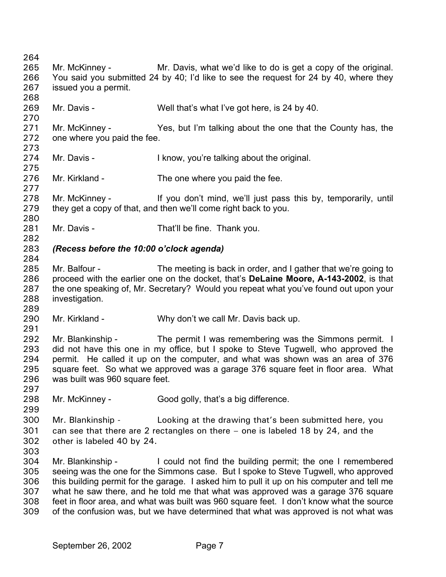264 265 266 267 268 269 270 271 272 273 274 275 276 277 278 279 280 281 282 283 284 285 286 287 288 289 290 291 292 293 294 295 296 297 298 299 300 301 302 303 304 305 306 307 308 309 Mr. McKinney - Mr. Davis, what we'd like to do is get a copy of the original. You said you submitted 24 by 40; I'd like to see the request for 24 by 40, where they issued you a permit. Mr. Davis - Well that's what I've got here, is 24 by 40. Mr. McKinney - Yes, but I'm talking about the one that the County has, the one where you paid the fee. Mr. Davis - I know, you're talking about the original. Mr. Kirkland - The one where you paid the fee. Mr. McKinney - If you don't mind, we'll just pass this by, temporarily, until they get a copy of that, and then we'll come right back to you. Mr. Davis - That'll be fine. Thank you. *(Recess before the 10:00 o'clock agenda)* Mr. Balfour - The meeting is back in order, and I gather that we're going to proceed with the earlier one on the docket, that's **DeLaine Moore, A-143-2002**, is that the one speaking of, Mr. Secretary? Would you repeat what you've found out upon your investigation. Mr. Kirkland - Why don't we call Mr. Davis back up. Mr. Blankinship - The permit I was remembering was the Simmons permit. I did not have this one in my office, but I spoke to Steve Tugwell, who approved the permit. He called it up on the computer, and what was shown was an area of 376 square feet. So what we approved was a garage 376 square feet in floor area. What was built was 960 square feet. Mr. McKinney - Good golly, that's a big difference. Mr. Blankinship - Looking at the drawing that's been submitted here, you can see that there are 2 rectangles on there – one is labeled 18 by 24, and the other is labeled 40 by 24. Mr. Blankinship - I could not find the building permit; the one I remembered seeing was the one for the Simmons case. But I spoke to Steve Tugwell, who approved this building permit for the garage. I asked him to pull it up on his computer and tell me what he saw there, and he told me that what was approved was a garage 376 square feet in floor area, and what was built was 960 square feet. I don't know what the source of the confusion was, but we have determined that what was approved is not what was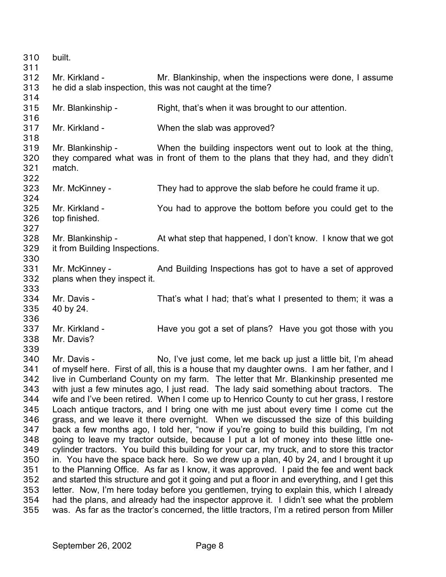| 310<br>311 | built.                        |                                                                                                                                                                                         |
|------------|-------------------------------|-----------------------------------------------------------------------------------------------------------------------------------------------------------------------------------------|
| 312<br>313 | Mr. Kirkland -                | Mr. Blankinship, when the inspections were done, I assume<br>he did a slab inspection, this was not caught at the time?                                                                 |
| 314        |                               |                                                                                                                                                                                         |
| 315        | Mr. Blankinship -             | Right, that's when it was brought to our attention.                                                                                                                                     |
| 316        |                               |                                                                                                                                                                                         |
| 317        | Mr. Kirkland -                | When the slab was approved?                                                                                                                                                             |
| 318        |                               |                                                                                                                                                                                         |
| 319        | Mr. Blankinship -             | When the building inspectors went out to look at the thing,                                                                                                                             |
| 320        |                               | they compared what was in front of them to the plans that they had, and they didn't                                                                                                     |
| 321        | match.                        |                                                                                                                                                                                         |
| 322        |                               |                                                                                                                                                                                         |
| 323        | Mr. McKinney -                | They had to approve the slab before he could frame it up.                                                                                                                               |
| 324        |                               |                                                                                                                                                                                         |
| 325        | Mr. Kirkland -                | You had to approve the bottom before you could get to the                                                                                                                               |
| 326        | top finished.                 |                                                                                                                                                                                         |
| 327        |                               |                                                                                                                                                                                         |
| 328        | Mr. Blankinship -             | At what step that happened, I don't know. I know that we got                                                                                                                            |
| 329        | it from Building Inspections. |                                                                                                                                                                                         |
| 330        |                               |                                                                                                                                                                                         |
| 331        | Mr. McKinney -                | And Building Inspections has got to have a set of approved                                                                                                                              |
| 332        | plans when they inspect it.   |                                                                                                                                                                                         |
| 333        |                               |                                                                                                                                                                                         |
| 334        | Mr. Davis -                   | That's what I had; that's what I presented to them; it was a                                                                                                                            |
| 335        | 40 by 24.                     |                                                                                                                                                                                         |
| 336        |                               |                                                                                                                                                                                         |
| 337        | Mr. Kirkland -                | Have you got a set of plans? Have you got those with you                                                                                                                                |
| 338        | Mr. Davis?                    |                                                                                                                                                                                         |
| 339        |                               |                                                                                                                                                                                         |
| 340        | Mr. Davis -                   | No, I've just come, let me back up just a little bit, I'm ahead                                                                                                                         |
| 341        |                               | of myself here. First of all, this is a house that my daughter owns. I am her father, and I                                                                                             |
| 342        |                               | live in Cumberland County on my farm. The letter that Mr. Blankinship presented me                                                                                                      |
| 343        |                               | with just a few minutes ago, I just read. The lady said something about tractors. The                                                                                                   |
| 344        |                               | wife and I've been retired. When I come up to Henrico County to cut her grass, I restore                                                                                                |
| 345        |                               | Loach antique tractors, and I bring one with me just about every time I come cut the                                                                                                    |
| 346        |                               | grass, and we leave it there overnight. When we discussed the size of this building                                                                                                     |
| 347        |                               | back a few months ago, I told her, "now if you're going to build this building, I'm not                                                                                                 |
| 348        |                               | going to leave my tractor outside, because I put a lot of money into these little one-                                                                                                  |
| 349        |                               | cylinder tractors. You build this building for your car, my truck, and to store this tractor                                                                                            |
| 350        |                               | in. You have the space back here. So we drew up a plan, 40 by 24, and I brought it up                                                                                                   |
| 351        |                               | to the Planning Office. As far as I know, it was approved. I paid the fee and went back                                                                                                 |
| 352        |                               | and started this structure and got it going and put a floor in and everything, and I get this                                                                                           |
| 353        |                               | letter. Now, I'm here today before you gentlemen, trying to explain this, which I already                                                                                               |
| 354<br>355 |                               | had the plans, and already had the inspector approve it. I didn't see what the problem<br>was. As far as the tractor's concerned, the little tractors, I'm a retired person from Miller |
|            |                               |                                                                                                                                                                                         |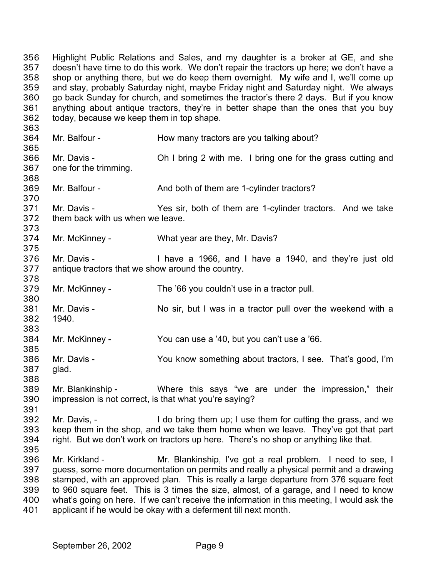Highlight Public Relations and Sales, and my daughter is a broker at GE, and she doesn't have time to do this work. We don't repair the tractors up here; we don't have a shop or anything there, but we do keep them overnight. My wife and I, we'll come up and stay, probably Saturday night, maybe Friday night and Saturday night. We always go back Sunday for church, and sometimes the tractor's there 2 days. But if you know anything about antique tractors, they're in better shape than the ones that you buy today, because we keep them in top shape. 356 357 358 359 360 361 362 363 364 365 366 367 368 369 370 371 372 373 374 375 376 377 378 379 380 381 382 383 384 385 386 387 388 389 390 391 392 393 394 395 396 397 398 399 400 401 Mr. Balfour - How many tractors are you talking about? Mr. Davis - **Oh I bring 2 with me.** I bring one for the grass cutting and one for the trimming. Mr. Balfour - And both of them are 1-cylinder tractors? Mr. Davis - The Yes sir, both of them are 1-cylinder tractors. And we take them back with us when we leave. Mr. McKinney - What year are they, Mr. Davis? Mr. Davis - I have a 1966, and I have a 1940, and they're just old antique tractors that we show around the country. Mr. McKinney - The '66 you couldn't use in a tractor pull. Mr. Davis - No sir, but I was in a tractor pull over the weekend with a 1940. Mr. McKinney - You can use a '40, but you can't use a '66. Mr. Davis - You know something about tractors, I see. That's good, I'm glad. Mr. Blankinship - Where this says "we are under the impression," their impression is not correct, is that what you're saying? Mr. Davis, - I do bring them up; I use them for cutting the grass, and we keep them in the shop, and we take them home when we leave. They've got that part right. But we don't work on tractors up here. There's no shop or anything like that. Mr. Kirkland - Mr. Blankinship, I've got a real problem. I need to see, I guess, some more documentation on permits and really a physical permit and a drawing stamped, with an approved plan. This is really a large departure from 376 square feet to 960 square feet. This is 3 times the size, almost, of a garage, and I need to know what's going on here. If we can't receive the information in this meeting, I would ask the applicant if he would be okay with a deferment till next month.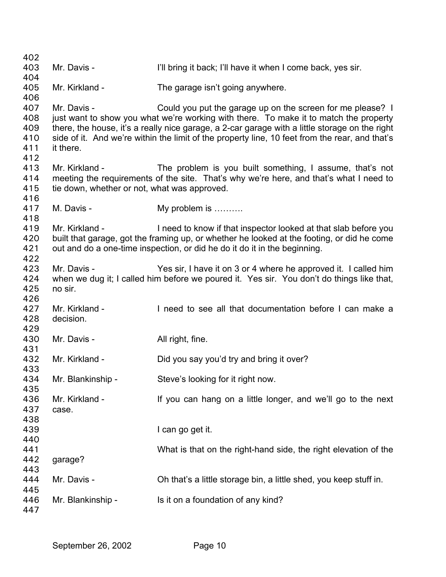Mr. Davis - **I'll bring it back**; I'll have it when I come back, yes sir. Mr. Kirkland - The garage isn't going anywhere. Mr. Davis - Could you put the garage up on the screen for me please? I just want to show you what we're working with there. To make it to match the property there, the house, it's a really nice garage, a 2-car garage with a little storage on the right side of it. And we're within the limit of the property line, 10 feet from the rear, and that's it there. Mr. Kirkland - The problem is you built something, I assume, that's not meeting the requirements of the site. That's why we're here, and that's what I need to tie down, whether or not, what was approved. M. Davis - My problem is .......... Mr. Kirkland - I need to know if that inspector looked at that slab before you built that garage, got the framing up, or whether he looked at the footing, or did he come out and do a one-time inspection, or did he do it do it in the beginning. Mr. Davis - Yes sir, I have it on 3 or 4 where he approved it. I called him when we dug it; I called him before we poured it. Yes sir. You don't do things like that, no sir. Mr. Kirkland - I need to see all that documentation before I can make a decision. Mr. Davis - All right, fine. Mr. Kirkland - Did you say you'd try and bring it over? Mr. Blankinship - Steve's looking for it right now. Mr. Kirkland - If you can hang on a little longer, and we'll go to the next case. I can go get it. What is that on the right-hand side, the right elevation of the garage? Mr. Davis - Ch that's a little storage bin, a little shed, you keep stuff in. Mr. Blankinship - Is it on a foundation of any kind?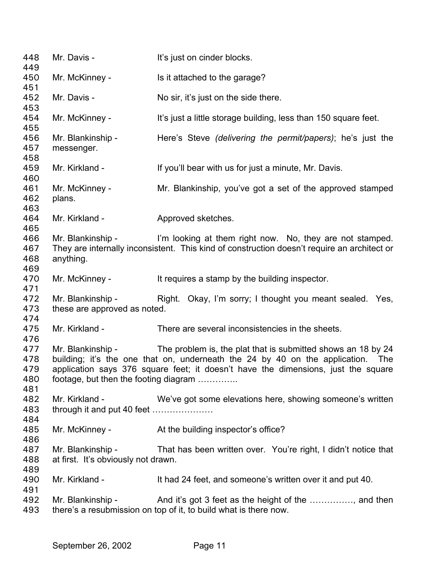| 448<br>449                      | Mr. Davis -                                                | It's just on cinder blocks.                                                                                                                                                                                                          |
|---------------------------------|------------------------------------------------------------|--------------------------------------------------------------------------------------------------------------------------------------------------------------------------------------------------------------------------------------|
| 450                             | Mr. McKinney -                                             | Is it attached to the garage?                                                                                                                                                                                                        |
| 451<br>452                      | Mr. Davis -                                                | No sir, it's just on the side there.                                                                                                                                                                                                 |
| 453<br>454                      | Mr. McKinney -                                             | It's just a little storage building, less than 150 square feet.                                                                                                                                                                      |
| 455<br>456<br>457               | Mr. Blankinship -<br>messenger.                            | Here's Steve (delivering the permit/papers); he's just the                                                                                                                                                                           |
| 458<br>459<br>460               | Mr. Kirkland -                                             | If you'll bear with us for just a minute, Mr. Davis.                                                                                                                                                                                 |
| 461<br>462<br>463               | Mr. McKinney -<br>plans.                                   | Mr. Blankinship, you've got a set of the approved stamped                                                                                                                                                                            |
| 464<br>465                      | Mr. Kirkland -                                             | Approved sketches.                                                                                                                                                                                                                   |
| 466<br>467<br>468<br>469        | anything.                                                  | Mr. Blankinship - I'm looking at them right now. No, they are not stamped.<br>They are internally inconsistent. This kind of construction doesn't require an architect or                                                            |
| 470<br>471                      | Mr. McKinney -                                             | It requires a stamp by the building inspector.                                                                                                                                                                                       |
| 472<br>473<br>474               | Mr. Blankinship -<br>these are approved as noted.          | Right. Okay, I'm sorry; I thought you meant sealed. Yes,                                                                                                                                                                             |
| 475<br>476                      | Mr. Kirkland -                                             | There are several inconsistencies in the sheets.                                                                                                                                                                                     |
| 477<br>478<br>479<br>480<br>481 | Mr. Blankinship -<br>footage, but then the footing diagram | The problem is, the plat that is submitted shows an 18 by 24<br>building; it's the one that on, underneath the 24 by 40 on the application. The<br>application says 376 square feet; it doesn't have the dimensions, just the square |
| 482<br>483<br>484               | Mr. Kirkland -<br>through it and put 40 feet               | We've got some elevations here, showing someone's written                                                                                                                                                                            |
| 485<br>486                      | Mr. McKinney -                                             | At the building inspector's office?                                                                                                                                                                                                  |
| 487<br>488                      | Mr. Blankinship -<br>at first. It's obviously not drawn.   | That has been written over. You're right, I didn't notice that                                                                                                                                                                       |
| 489<br>490<br>491               | Mr. Kirkland -                                             | It had 24 feet, and someone's written over it and put 40.                                                                                                                                                                            |
| 492<br>493                      | Mr. Blankinship -                                          | And it's got 3 feet as the height of the , and then<br>there's a resubmission on top of it, to build what is there now.                                                                                                              |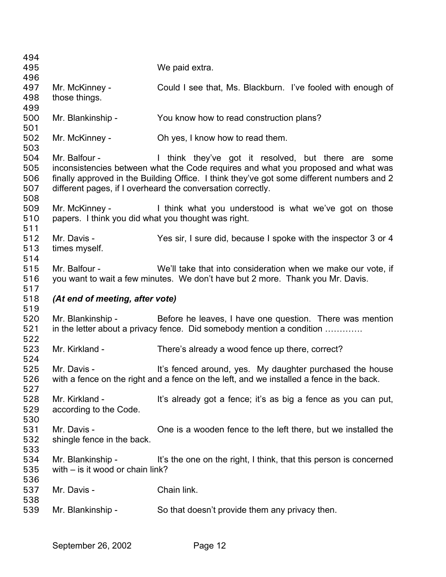| 494        |                                                     |                                                                                           |
|------------|-----------------------------------------------------|-------------------------------------------------------------------------------------------|
| 495        |                                                     | We paid extra.                                                                            |
| 496        |                                                     |                                                                                           |
| 497        | Mr. McKinney -                                      | Could I see that, Ms. Blackburn. I've fooled with enough of                               |
| 498        | those things.                                       |                                                                                           |
| 499        |                                                     |                                                                                           |
| 500        | Mr. Blankinship -                                   | You know how to read construction plans?                                                  |
| 501        |                                                     |                                                                                           |
| 502        | Mr. McKinney -                                      | Oh yes, I know how to read them.                                                          |
| 503        |                                                     |                                                                                           |
| 504        | Mr. Balfour -                                       | I think they've got it resolved, but there are some                                       |
| 505        |                                                     | inconsistencies between what the Code requires and what you proposed and what was         |
| 506        |                                                     | finally approved in the Building Office. I think they've got some different numbers and 2 |
| 507        |                                                     | different pages, if I overheard the conversation correctly.                               |
| 508        |                                                     |                                                                                           |
| 509        | Mr. McKinney -                                      | I think what you understood is what we've got on those                                    |
| 510        | papers. I think you did what you thought was right. |                                                                                           |
| 511        |                                                     |                                                                                           |
| 512        | Mr. Davis -                                         | Yes sir, I sure did, because I spoke with the inspector 3 or 4                            |
| 513        | times myself.                                       |                                                                                           |
| 514        |                                                     |                                                                                           |
| 515        | Mr. Balfour -                                       | We'll take that into consideration when we make our vote, if                              |
| 516        |                                                     | you want to wait a few minutes. We don't have but 2 more. Thank you Mr. Davis.            |
| 517        |                                                     |                                                                                           |
|            |                                                     |                                                                                           |
|            |                                                     |                                                                                           |
| 518        | (At end of meeting, after vote)                     |                                                                                           |
| 519<br>520 | Mr. Blankinship -                                   |                                                                                           |
|            |                                                     | Before he leaves, I have one question. There was mention                                  |
| 521        |                                                     | in the letter about a privacy fence. Did somebody mention a condition                     |
| 522        | Mr. Kirkland -                                      |                                                                                           |
| 523        |                                                     | There's already a wood fence up there, correct?                                           |
| 524        | Mr. Davis -                                         |                                                                                           |
| 525        |                                                     | It's fenced around, yes. My daughter purchased the house                                  |
| 526        |                                                     | with a fence on the right and a fence on the left, and we installed a fence in the back.  |
| 527        |                                                     |                                                                                           |
| 528        | Mr. Kirkland -                                      | It's already got a fence; it's as big a fence as you can put,                             |
| 529        | according to the Code.                              |                                                                                           |
| 530        |                                                     |                                                                                           |
| 531        | Mr. Davis -                                         | One is a wooden fence to the left there, but we installed the                             |
| 532        | shingle fence in the back.                          |                                                                                           |
| 533        |                                                     |                                                                                           |
| 534        | Mr. Blankinship -                                   | It's the one on the right, I think, that this person is concerned                         |
| 535        | with $-$ is it wood or chain link?                  |                                                                                           |
| 536        |                                                     |                                                                                           |
| 537        | Mr. Davis -                                         | Chain link.                                                                               |
| 538<br>539 | Mr. Blankinship -                                   | So that doesn't provide them any privacy then.                                            |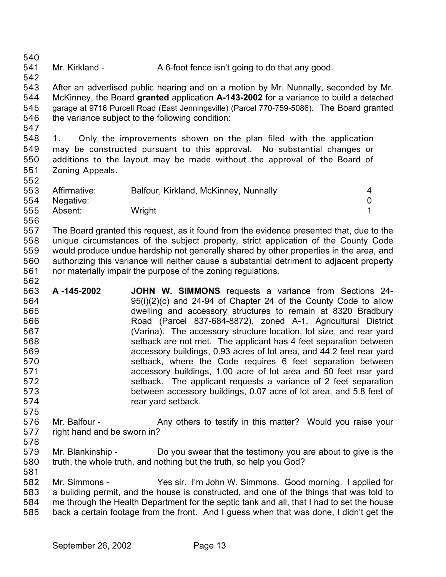541 Mr. Kirkland - A 6-foot fence isn't going to do that any good.

543 544 545 546 After an advertised public hearing and on a motion by Mr. Nunnally, seconded by Mr. McKinney, the Board **granted** application **A-143-2002** for a variance to build a detached garage at 9716 Purcell Road (East Jenningsville) (Parcel 770-759-5086). The Board granted the variance subject to the following condition:

547

575

578

540

542

548 549 550 551 552 1. Only the improvements shown on the plan filed with the application may be constructed pursuant to this approval. No substantial changes or additions to the layout may be made without the approval of the Board of Zoning Appeals.

|     | 553 Affirmative: | Balfour, Kirkland, McKinney, Nunnally |  |
|-----|------------------|---------------------------------------|--|
|     | 554 Negative:    |                                       |  |
| 555 | Absent:          | Wright                                |  |
| 556 |                  |                                       |  |

557 558 559 560 561 562 The Board granted this request, as it found from the evidence presented that, due to the unique circumstances of the subject property, strict application of the County Code would produce undue hardship not generally shared by other properties in the area, and authorizing this variance will neither cause a substantial detriment to adjacent property nor materially impair the purpose of the zoning regulations.

563 564 565 566 567 568 569 570 571 572 573 574 **A -145-2002 JOHN W. SIMMONS** requests a variance from Sections 24- 95(i)(2)(c) and 24-94 of Chapter 24 of the County Code to allow dwelling and accessory structures to remain at 8320 Bradbury Road (Parcel 837-684-8872), zoned A-1, Agricultural District (Varina). The accessory structure location, lot size, and rear yard setback are not met. The applicant has 4 feet separation between accessory buildings, 0.93 acres of lot area, and 44.2 feet rear yard setback, where the Code requires 6 feet separation between accessory buildings, 1.00 acre of lot area and 50 feet rear yard setback. The applicant requests a variance of 2 feet separation between accessory buildings, 0.07 acre of lot area, and 5.8 feet of rear yard setback.

576 577 Mr. Balfour - Any others to testify in this matter? Would you raise your right hand and be sworn in?

579 580 Mr. Blankinship - Do you swear that the testimony you are about to give is the truth, the whole truth, and nothing but the truth, so help you God?

581 582 583 584 585 Mr. Simmons - Yes sir. I'm John W. Simmons. Good morning. I applied for a building permit, and the house is constructed, and one of the things that was told to me through the Health Department for the septic tank and all, that I had to set the house back a certain footage from the front. And I guess when that was done, I didn't get the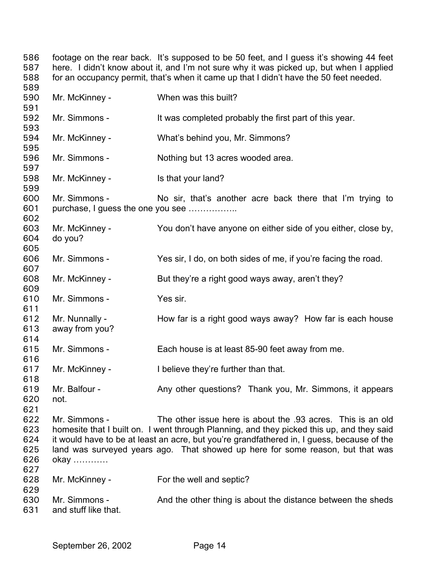footage on the rear back. It's supposed to be 50 feet, and I guess it's showing 44 feet here. I didn't know about it, and I'm not sure why it was picked up, but when I applied for an occupancy permit, that's when it came up that I didn't have the 50 feet needed. Mr. McKinney - When was this built? Mr. Simmons - It was completed probably the first part of this year. Mr. McKinney - What's behind you, Mr. Simmons? Mr. Simmons - Nothing but 13 acres wooded area. Mr. McKinney - Is that your land? Mr. Simmons - No sir, that's another acre back there that I'm trying to purchase, I guess the one you see …………….. Mr. McKinney - You don't have anyone on either side of you either, close by, do you? Mr. Simmons - Yes sir, I do, on both sides of me, if you're facing the road. Mr. McKinney - But they're a right good ways away, aren't they? Mr. Simmons - Yes sir. Mr. Nunnally - How far is a right good ways away? How far is each house away from you? Mr. Simmons - Each house is at least 85-90 feet away from me. Mr. McKinney - I believe they're further than that. Mr. Balfour - Any other questions? Thank you, Mr. Simmons, it appears not. Mr. Simmons - The other issue here is about the .93 acres. This is an old homesite that I built on. I went through Planning, and they picked this up, and they said it would have to be at least an acre, but you're grandfathered in, I guess, because of the land was surveyed years ago. That showed up here for some reason, but that was okay ………… Mr. McKinney - For the well and septic? Mr. Simmons - And the other thing is about the distance between the sheds and stuff like that.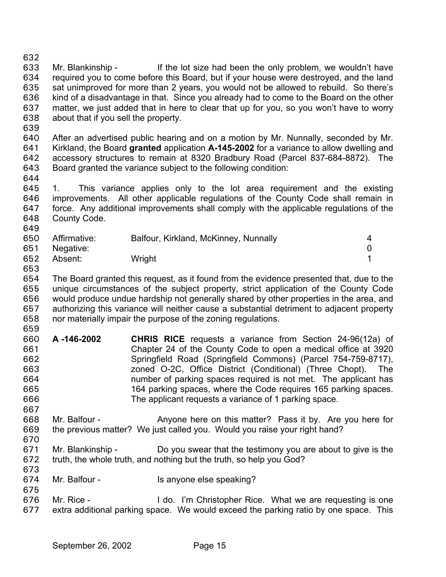632

633 634 635 636 637 638 639 640 641 642 643 644 645 Mr. Blankinship - If the lot size had been the only problem, we wouldn't have required you to come before this Board, but if your house were destroyed, and the land sat unimproved for more than 2 years, you would not be allowed to rebuild. So there's kind of a disadvantage in that. Since you already had to come to the Board on the other matter, we just added that in here to clear that up for you, so you won't have to worry about that if you sell the property. After an advertised public hearing and on a motion by Mr. Nunnally, seconded by Mr. Kirkland, the Board **granted** application **A-145-2002** for a variance to allow dwelling and accessory structures to remain at 8320 Bradbury Road (Parcel 837-684-8872). The Board granted the variance subject to the following condition: 1. This variance applies only to the lot area requirement and the existing

646 647 648 649 improvements. All other applicable regulations of the County Code shall remain in force. Any additional improvements shall comply with the applicable regulations of the County Code.

| Affirmative:  | Balfour, Kirkland, McKinney, Nunnally |  |
|---------------|---------------------------------------|--|
| 651 Negative: |                                       |  |
| Absent:       | Wright                                |  |
|               |                                       |  |

- 654 655 656 657 658 The Board granted this request, as it found from the evidence presented that, due to the unique circumstances of the subject property, strict application of the County Code would produce undue hardship not generally shared by other properties in the area, and authorizing this variance will neither cause a substantial detriment to adjacent property nor materially impair the purpose of the zoning regulations.
- 659 660 661 662 663 664 665 666 **A -146-2002 CHRIS RICE** requests a variance from Section 24-96(12a) of Chapter 24 of the County Code to open a medical office at 3920 Springfield Road (Springfield Commons) (Parcel 754-759-8717), zoned O-2C, Office District (Conditional) (Three Chopt). The number of parking spaces required is not met. The applicant has 164 parking spaces, where the Code requires 165 parking spaces. The applicant requests a variance of 1 parking space.
- 667 668 669 Mr. Balfour - Anyone here on this matter? Pass it by. Are you here for the previous matter? We just called you. Would you raise your right hand?
- 670 671 672 Mr. Blankinship - Do you swear that the testimony you are about to give is the truth, the whole truth, and nothing but the truth, so help you God?
- 674 Mr. Balfour - Is anyone else speaking?
- 676 677 Mr. Rice - I do. I'm Christopher Rice. What we are requesting is one extra additional parking space. We would exceed the parking ratio by one space. This

673

675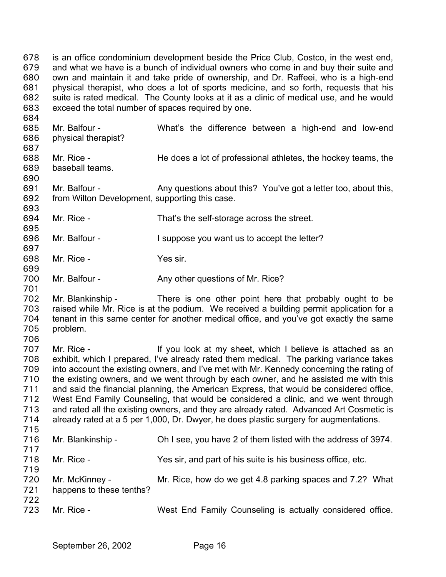is an office condominium development beside the Price Club, Costco, in the west end, and what we have is a bunch of individual owners who come in and buy their suite and own and maintain it and take pride of ownership, and Dr. Raffeei, who is a high-end physical therapist, who does a lot of sports medicine, and so forth, requests that his suite is rated medical. The County looks at it as a clinic of medical use, and he would exceed the total number of spaces required by one. 678 679 680 681 682 683 684

685 686 687 688 689 690 691 692 693 694 695 696 697 698 699 700 701 702 703 704 705 706 707 708 709 710 711 712 713 714 715 716 717 718 719 720 721 722 723 Mr. Balfour - What's the difference between a high-end and low-end physical therapist? Mr. Rice - **He does a lot of professional athletes, the hockey teams, the** baseball teams. Mr. Balfour - Any questions about this? You've got a letter too, about this, from Wilton Development, supporting this case. Mr. Rice - That's the self-storage across the street. Mr. Balfour - I suppose you want us to accept the letter? Mr. Rice - Yes sir. Mr. Balfour - Any other questions of Mr. Rice? Mr. Blankinship - There is one other point here that probably ought to be raised while Mr. Rice is at the podium. We received a building permit application for a tenant in this same center for another medical office, and you've got exactly the same problem. Mr. Rice - The Mr is at my sheet, which I believe is attached as an exhibit, which I prepared, I've already rated them medical. The parking variance takes into account the existing owners, and I've met with Mr. Kennedy concerning the rating of the existing owners, and we went through by each owner, and he assisted me with this and said the financial planning, the American Express, that would be considered office, West End Family Counseling, that would be considered a clinic, and we went through and rated all the existing owners, and they are already rated. Advanced Art Cosmetic is already rated at a 5 per 1,000, Dr. Dwyer, he does plastic surgery for augmentations. Mr. Blankinship - Oh I see, you have 2 of them listed with the address of 3974. Mr. Rice - Yes sir, and part of his suite is his business office, etc. Mr. McKinney - Mr. Rice, how do we get 4.8 parking spaces and 7.2? What happens to these tenths? Mr. Rice - **West End Family Counseling is actually considered office.**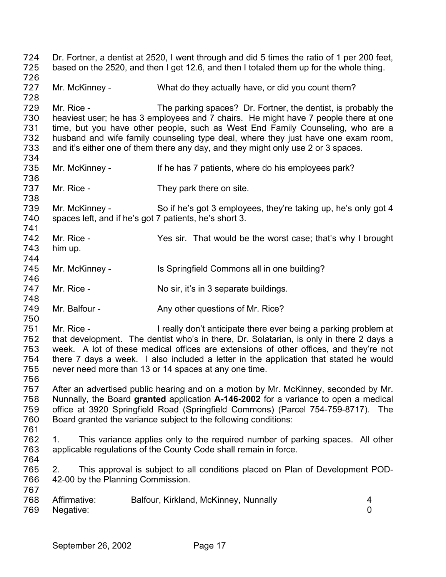Dr. Fortner, a dentist at 2520, I went through and did 5 times the ratio of 1 per 200 feet, based on the 2520, and then I get 12.6, and then I totaled them up for the whole thing. 724 725 726 727 728 729 730 731 732 733 734 735 736 737 738 739 740 741 742 743 744 745 746 747 748 749 750 751 752 753 754 755 756 757 758 759 760 761 762 763 764 765 766 767 768 769 Mr. McKinney - What do they actually have, or did you count them? Mr. Rice - The parking spaces? Dr. Fortner, the dentist, is probably the heaviest user; he has 3 employees and 7 chairs. He might have 7 people there at one time, but you have other people, such as West End Family Counseling, who are a husband and wife family counseling type deal, where they just have one exam room, and it's either one of them there any day, and they might only use 2 or 3 spaces. Mr. McKinney - If he has 7 patients, where do his employees park? Mr. Rice - They park there on site. Mr. McKinney - So if he's got 3 employees, they're taking up, he's only got 4 spaces left, and if he's got 7 patients, he's short 3. Mr. Rice - Yes sir. That would be the worst case; that's why I brought him up. Mr. McKinney - Is Springfield Commons all in one building? Mr. Rice - No sir, it's in 3 separate buildings. Mr. Balfour - Any other questions of Mr. Rice? Mr. Rice - I really don't anticipate there ever being a parking problem at that development. The dentist who's in there, Dr. Solatarian, is only in there 2 days a week. A lot of these medical offices are extensions of other offices, and they're not there 7 days a week. I also included a letter in the application that stated he would never need more than 13 or 14 spaces at any one time. After an advertised public hearing and on a motion by Mr. McKinney, seconded by Mr. Nunnally, the Board **granted** application **A-146-2002** for a variance to open a medical office at 3920 Springfield Road (Springfield Commons) (Parcel 754-759-8717). The Board granted the variance subject to the following conditions: 1. This variance applies only to the required number of parking spaces. All other applicable regulations of the County Code shall remain in force. 2. This approval is subject to all conditions placed on Plan of Development POD-42-00 by the Planning Commission. Affirmative: Balfour, Kirkland, McKinney, Nunnally 4 Negative: 0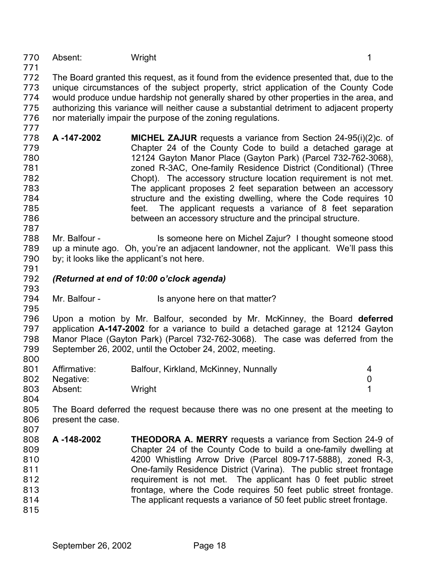770 Absent: Wright 1

771

- 772 773 774 775 776 The Board granted this request, as it found from the evidence presented that, due to the unique circumstances of the subject property, strict application of the County Code would produce undue hardship not generally shared by other properties in the area, and authorizing this variance will neither cause a substantial detriment to adjacent property nor materially impair the purpose of the zoning regulations.
- 777 778 779 780 781 782 783 784 785 786 **A -147-2002 MICHEL ZAJUR** requests a variance from Section 24-95(i)(2)c. of Chapter 24 of the County Code to build a detached garage at 12124 Gayton Manor Place (Gayton Park) (Parcel 732-762-3068), zoned R-3AC, One-family Residence District (Conditional) (Three Chopt). The accessory structure location requirement is not met. The applicant proposes 2 feet separation between an accessory structure and the existing dwelling, where the Code requires 10 feet. The applicant requests a variance of 8 feet separation between an accessory structure and the principal structure.
- 787 788 789 790 Mr. Balfour - Is someone here on Michel Zajur? I thought someone stood up a minute ago. Oh, you're an adjacent landowner, not the applicant. We'll pass this by; it looks like the applicant's not here.
- 792 *(Returned at end of 10:00 o'clock agenda)*
- 794 Mr. Balfour - Is anyone here on that matter?
- 795

791

793

796 797 798 799 800 Upon a motion by Mr. Balfour, seconded by Mr. McKinney, the Board **deferred** application **A-147-2002** for a variance to build a detached garage at 12124 Gayton Manor Place (Gayton Park) (Parcel 732-762-3068). The case was deferred from the September 26, 2002, until the October 24, 2002, meeting.

| 801 | Affirmative:  | Balfour, Kirkland, McKinney, Nunnally |  |
|-----|---------------|---------------------------------------|--|
|     | 802 Negative: |                                       |  |
| 803 | Absent:       | Wright                                |  |

- 804
	- 805 806 807 The Board deferred the request because there was no one present at the meeting to present the case.
	- 808 809 810 811 812 813 814 **A -148-2002 THEODORA A. MERRY** requests a variance from Section 24-9 of Chapter 24 of the County Code to build a one-family dwelling at 4200 Whistling Arrow Drive (Parcel 809-717-5888), zoned R-3, One-family Residence District (Varina). The public street frontage requirement is not met. The applicant has 0 feet public street frontage, where the Code requires 50 feet public street frontage. The applicant requests a variance of 50 feet public street frontage.
	- 815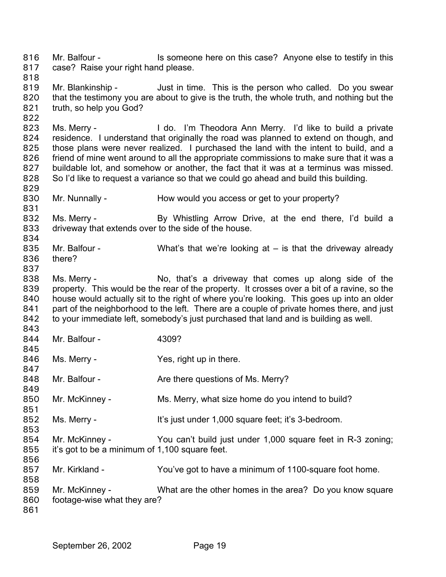Mr. Balfour - Is someone here on this case? Anyone else to testify in this case? Raise your right hand please. 816 817

818

822

831

837

843

845

851

853

856

819 820 821 Mr. Blankinship - Just in time. This is the person who called. Do you swear that the testimony you are about to give is the truth, the whole truth, and nothing but the truth, so help you God?

823 824 825 826 827 828 829 Ms. Merry - Theodora Ann Merry. I'd like to build a private residence. I understand that originally the road was planned to extend on though, and those plans were never realized. I purchased the land with the intent to build, and a friend of mine went around to all the appropriate commissions to make sure that it was a buildable lot, and somehow or another, the fact that it was at a terminus was missed. So I'd like to request a variance so that we could go ahead and build this building.

830 Mr. Nunnally - How would you access or get to your property?

832 833 834 Ms. Merry - By Whistling Arrow Drive, at the end there, I'd build a driveway that extends over to the side of the house.

- 835 836 Mr. Balfour - What's that we're looking at – is that the driveway already there?
- 838 839 840 841 842 Ms. Merry - No, that's a driveway that comes up along side of the property. This would be the rear of the property. It crosses over a bit of a ravine, so the house would actually sit to the right of where you're looking. This goes up into an older part of the neighborhood to the left. There are a couple of private homes there, and just to your immediate left, somebody's just purchased that land and is building as well.
- 844 Mr. Balfour - 4309?
- 846 847 Ms. Merry - The Yes, right up in there.
- 848 849 Mr. Balfour - The Are there questions of Ms. Merry?
- 850 Mr. McKinney - Ms. Merry, what size home do you intend to build?
- 852 Ms. Merry - It's just under 1,000 square feet; it's 3-bedroom.
- 854 855 Mr. McKinney - You can't build just under 1,000 square feet in R-3 zoning; it's got to be a minimum of 1,100 square feet.
- 857 Mr. Kirkland - You've got to have a minimum of 1100-square foot home.
- 858 859 860 Mr. McKinney - What are the other homes in the area? Do you know square footage-wise what they are?
- 861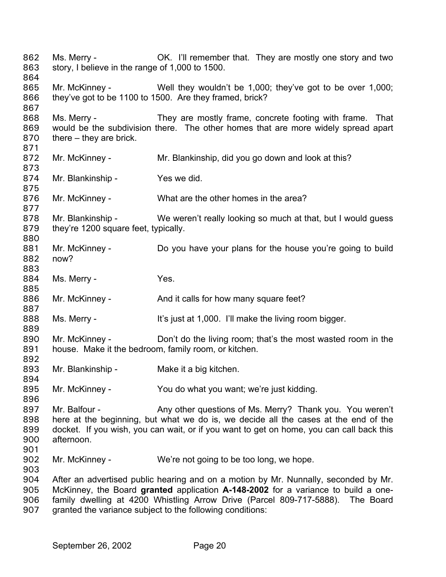Ms. Merry - **OK.** I'll remember that. They are mostly one story and two story, I believe in the range of 1,000 to 1500. 862 863 864 865 866 867 868 869 870 871 872 873 874 875 876 877 878 879 880 881 882 883 884 885 886 887 888 889 890 891 892 893 894 895 896 897 898 899 900 901 902 903 904 905 906 907 Mr. McKinney - Well they wouldn't be 1,000; they've got to be over 1,000; they've got to be 1100 to 1500. Are they framed, brick? Ms. Merry - They are mostly frame, concrete footing with frame. That would be the subdivision there. The other homes that are more widely spread apart there – they are brick. Mr. McKinney - Mr. Blankinship, did you go down and look at this? Mr. Blankinship - Yes we did. Mr. McKinney - What are the other homes in the area? Mr. Blankinship - We weren't really looking so much at that, but I would guess they're 1200 square feet, typically. Mr. McKinney - Do you have your plans for the house you're going to build now? Ms. Merry - The Yes. Mr. McKinney - And it calls for how many square feet? Ms. Merry - It's just at 1,000. I'll make the living room bigger. Mr. McKinney - Don't do the living room; that's the most wasted room in the house. Make it the bedroom, family room, or kitchen. Mr. Blankinship - Make it a big kitchen. Mr. McKinney - You do what you want; we're just kidding. Mr. Balfour - Any other questions of Ms. Merry? Thank you. You weren't here at the beginning, but what we do is, we decide all the cases at the end of the docket. If you wish, you can wait, or if you want to get on home, you can call back this afternoon. Mr. McKinney - We're not going to be too long, we hope. After an advertised public hearing and on a motion by Mr. Nunnally, seconded by Mr. McKinney, the Board **granted** application **A-148-2002** for a variance to build a onefamily dwelling at 4200 Whistling Arrow Drive (Parcel 809-717-5888). The Board granted the variance subject to the following conditions: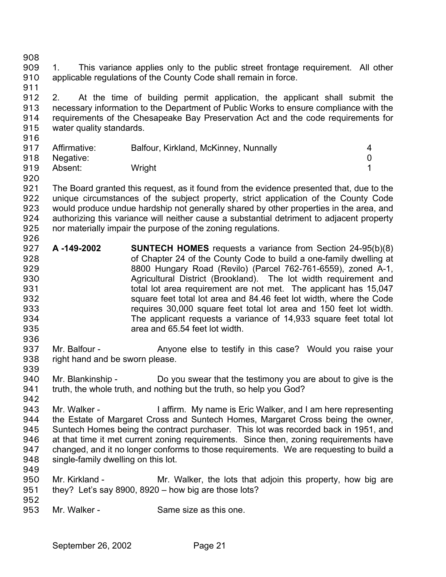- 908 909 910 1. This variance applies only to the public street frontage requirement. All other applicable regulations of the County Code shall remain in force.
- 911 912 913 914 915 2. At the time of building permit application, the applicant shall submit the necessary information to the Department of Public Works to ensure compliance with the requirements of the Chesapeake Bay Preservation Act and the code requirements for water quality standards.
- 916 917 918 919 Affirmative: Balfour, Kirkland, McKinney, Nunnally 4 Negative: 0 Absent: Wright 1
- 921 922 923 924 925 926 The Board granted this request, as it found from the evidence presented that, due to the unique circumstances of the subject property, strict application of the County Code would produce undue hardship not generally shared by other properties in the area, and authorizing this variance will neither cause a substantial detriment to adjacent property nor materially impair the purpose of the zoning regulations.
- 927 928 929 930 931 932 933 934 935 **A -149-2002 SUNTECH HOMES** requests a variance from Section 24-95(b)(8) of Chapter 24 of the County Code to build a one-family dwelling at 8800 Hungary Road (Revilo) (Parcel 762-761-6559), zoned A-1, Agricultural District (Brookland). The lot width requirement and total lot area requirement are not met. The applicant has 15,047 square feet total lot area and 84.46 feet lot width, where the Code requires 30,000 square feet total lot area and 150 feet lot width. The applicant requests a variance of 14,933 square feet total lot area and 65.54 feet lot width.
- 937 938 939 Mr. Balfour - Anyone else to testify in this case? Would you raise your right hand and be sworn please.
- 940 941 Mr. Blankinship - Do you swear that the testimony you are about to give is the truth, the whole truth, and nothing but the truth, so help you God?
- 942 943 944 945 946 947 948 Mr. Walker - The I affirm. My name is Eric Walker, and I am here representing the Estate of Margaret Cross and Suntech Homes, Margaret Cross being the owner, Suntech Homes being the contract purchaser. This lot was recorded back in 1951, and at that time it met current zoning requirements. Since then, zoning requirements have changed, and it no longer conforms to those requirements. We are requesting to build a single-family dwelling on this lot.
- 949

936

920

- 950 951 Mr. Kirkland - The Mr. Walker, the lots that adjoin this property, how big are they? Let's say 8900, 8920 – how big are those lots?
- 952
- 953 Mr. Walker - Same size as this one.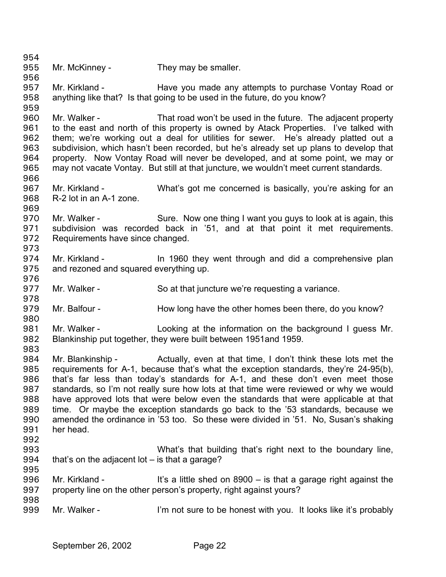954 955 956 957 958 959 960 961 962 963 964 965 966 967 968 969 970 971 972 973 974 975 976 977 978 979 980 981 982 983 984 985 986 987 988 989 990 991 992 993 994 995 996 997 998 999 Mr. McKinney - They may be smaller. Mr. Kirkland - Thave you made any attempts to purchase Vontay Road or anything like that? Is that going to be used in the future, do you know? Mr. Walker - That road won't be used in the future. The adjacent property to the east and north of this property is owned by Atack Properties. I've talked with them; we're working out a deal for utilities for sewer. He's already platted out a subdivision, which hasn't been recorded, but he's already set up plans to develop that property. Now Vontay Road will never be developed, and at some point, we may or may not vacate Vontay. But still at that juncture, we wouldn't meet current standards. Mr. Kirkland - What's got me concerned is basically, you're asking for an R-2 lot in an A-1 zone. Mr. Walker - Sure. Now one thing I want you guys to look at is again, this subdivision was recorded back in '51, and at that point it met requirements. Requirements have since changed. Mr. Kirkland - In 1960 they went through and did a comprehensive plan and rezoned and squared everything up. Mr. Walker - So at that juncture we're requesting a variance. Mr. Balfour - How long have the other homes been there, do you know? Mr. Walker - Looking at the information on the background I guess Mr. Blankinship put together, they were built between 1951and 1959. Mr. Blankinship - Actually, even at that time, I don't think these lots met the requirements for A-1, because that's what the exception standards, they're 24-95(b), that's far less than today's standards for A-1, and these don't even meet those standards, so I'm not really sure how lots at that time were reviewed or why we would have approved lots that were below even the standards that were applicable at that time. Or maybe the exception standards go back to the '53 standards, because we amended the ordinance in '53 too. So these were divided in '51. No, Susan's shaking her head. What's that building that's right next to the boundary line, that's on the adjacent lot – is that a garage? Mr. Kirkland - It's a little shed on  $8900 -$  is that a garage right against the property line on the other person's property, right against yours? Mr. Walker - I'm not sure to be honest with you. It looks like it's probably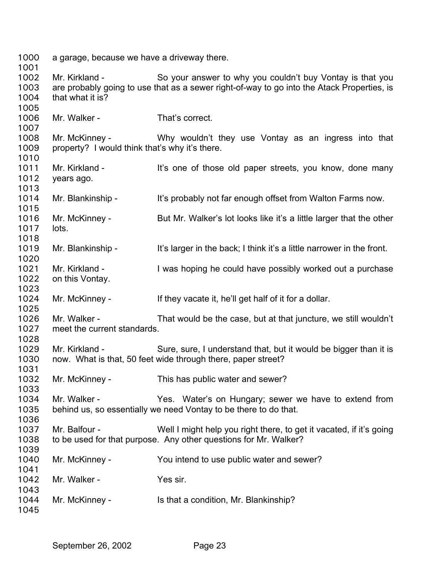a garage, because we have a driveway there. 

 Mr. Kirkland - So your answer to why you couldn't buy Vontay is that you are probably going to use that as a sewer right-of-way to go into the Atack Properties, is that what it is?

 Mr. Walker - That's correct.

 Mr. McKinney - The Why wouldn't they use Vontay as an ingress into that property? I would think that's why it's there.

 Mr. Kirkland - It's one of those old paper streets, you know, done many years ago.

 Mr. Blankinship - It's probably not far enough offset from Walton Farms now.

 Mr. McKinney - But Mr. Walker's lot looks like it's a little larger that the other lots.

 Mr. Blankinship - It's larger in the back; I think it's a little narrower in the front.

 Mr. Kirkland - I was hoping he could have possibly worked out a purchase on this Vontay.

 Mr. McKinney - If they vacate it, he'll get half of it for a dollar.

 Mr. Walker - That would be the case, but at that juncture, we still wouldn't meet the current standards.

 Mr. Kirkland - Sure, sure, I understand that, but it would be bigger than it is now. What is that, 50 feet wide through there, paper street?

 Mr. McKinney - This has public water and sewer?

 Mr. Walker - Yes. Water's on Hungary; sewer we have to extend from behind us, so essentially we need Vontay to be there to do that.

 Mr. Balfour - Well I might help you right there, to get it vacated, if it's going to be used for that purpose. Any other questions for Mr. Walker?

 Mr. McKinney - You intend to use public water and sewer? Mr. Walker - The Yes sir. Mr. McKinney - Is that a condition, Mr. Blankinship?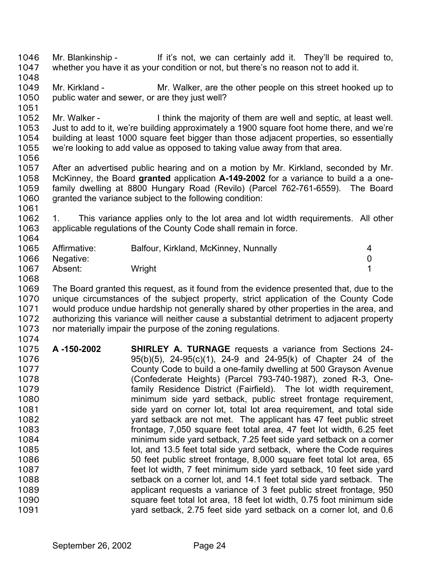Mr. Blankinship - If it's not, we can certainly add it. They'll be required to, whether you have it as your condition or not, but there's no reason not to add it. 1046 1047 1048 1049 1050 1051 1052 Mr. Kirkland - Mr. Walker, are the other people on this street hooked up to public water and sewer, or are they just well? Mr. Walker - Think the majority of them are well and septic, at least well.

1053 1054 1055 Just to add to it, we're building approximately a 1900 square foot home there, and we're building at least 1000 square feet bigger than those adjacent properties, so essentially we're looking to add value as opposed to taking value away from that area.

1056

1061

1068

1057 1058 1059 1060 After an advertised public hearing and on a motion by Mr. Kirkland, seconded by Mr. McKinney, the Board **granted** application **A-149-2002** for a variance to build a a onefamily dwelling at 8800 Hungary Road (Revilo) (Parcel 762-761-6559). The Board granted the variance subject to the following condition:

1062 1063 1064 1. This variance applies only to the lot area and lot width requirements. All other applicable regulations of the County Code shall remain in force.

| 1065 | Affirmative: | Balfour, Kirkland, McKinney, Nunnally |  |
|------|--------------|---------------------------------------|--|
| 1066 | Negative:    |                                       |  |
| 1067 | Absent:      | Wright                                |  |

1069 1070 1071 1072 1073 1074 The Board granted this request, as it found from the evidence presented that, due to the unique circumstances of the subject property, strict application of the County Code would produce undue hardship not generally shared by other properties in the area, and authorizing this variance will neither cause a substantial detriment to adjacent property nor materially impair the purpose of the zoning regulations.

1075 1076 1077 1078 1079 1080 1081 1082 1083 1084 1085 1086 1087 1088 1089 1090 1091 **A -150-2002 SHIRLEY A. TURNAGE** requests a variance from Sections 24- 95(b)(5), 24-95(c)(1), 24-9 and 24-95(k) of Chapter 24 of the County Code to build a one-family dwelling at 500 Grayson Avenue (Confederate Heights) (Parcel 793-740-1987), zoned R-3, Onefamily Residence District (Fairfield). The lot width requirement, minimum side yard setback, public street frontage requirement, side yard on corner lot, total lot area requirement, and total side yard setback are not met. The applicant has 47 feet public street frontage, 7,050 square feet total area, 47 feet lot width, 6.25 feet minimum side yard setback, 7.25 feet side yard setback on a corner lot, and 13.5 feet total side yard setback, where the Code requires 50 feet public street frontage, 8,000 square feet total lot area, 65 feet lot width, 7 feet minimum side yard setback, 10 feet side yard setback on a corner lot, and 14.1 feet total side yard setback. The applicant requests a variance of 3 feet public street frontage, 950 square feet total lot area, 18 feet lot width, 0.75 foot minimum side yard setback, 2.75 feet side yard setback on a corner lot, and 0.6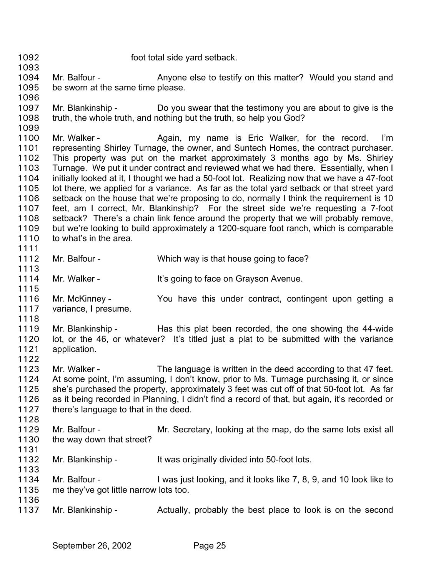1093 1094 1095 1096 1097 1098 1099 1100 1101 1102 1103 1104 1105 1106 1107 1108 1109 1110 1111 1112 1113 1114 1115 Mr. Balfour - Anyone else to testify on this matter? Would you stand and be sworn at the same time please. Mr. Blankinship - Do you swear that the testimony you are about to give is the truth, the whole truth, and nothing but the truth, so help you God? Mr. Walker - The Again, my name is Eric Walker, for the record. I'm representing Shirley Turnage, the owner, and Suntech Homes, the contract purchaser. This property was put on the market approximately 3 months ago by Ms. Shirley Turnage. We put it under contract and reviewed what we had there. Essentially, when I initially looked at it, I thought we had a 50-foot lot. Realizing now that we have a 47-foot lot there, we applied for a variance. As far as the total yard setback or that street yard setback on the house that we're proposing to do, normally I think the requirement is 10 feet, am I correct, Mr. Blankinship? For the street side we're requesting a 7-foot setback? There's a chain link fence around the property that we will probably remove, but we're looking to build approximately a 1200-square foot ranch, which is comparable to what's in the area. Mr. Balfour - Which way is that house going to face? Mr. Walker - It's going to face on Grayson Avenue.

1092 foot total side yard setback.

- 1116 1117 1118 Mr. McKinney - The You have this under contract, contingent upon getting a variance, I presume.
- 1119 1120 1121 1122 Mr. Blankinship - Has this plat been recorded, the one showing the 44-wide lot, or the 46, or whatever? It's titled just a plat to be submitted with the variance application.
- 1123 1124 1125 1126 1127 1128 Mr. Walker - The language is written in the deed according to that 47 feet. At some point, I'm assuming, I don't know, prior to Ms. Turnage purchasing it, or since she's purchased the property, approximately 3 feet was cut off of that 50-foot lot. As far as it being recorded in Planning, I didn't find a record of that, but again, it's recorded or there's language to that in the deed.
- 1129 1130 1131 Mr. Balfour - Mr. Secretary, looking at the map, do the same lots exist all the way down that street?
- 1132 Mr. Blankinship - It was originally divided into 50-foot lots.
- 1134 1135 1136 Mr. Balfour - I was just looking, and it looks like 7, 8, 9, and 10 look like to me they've got little narrow lots too.
- 1137 Mr. Blankinship - The Actually, probably the best place to look is on the second

1133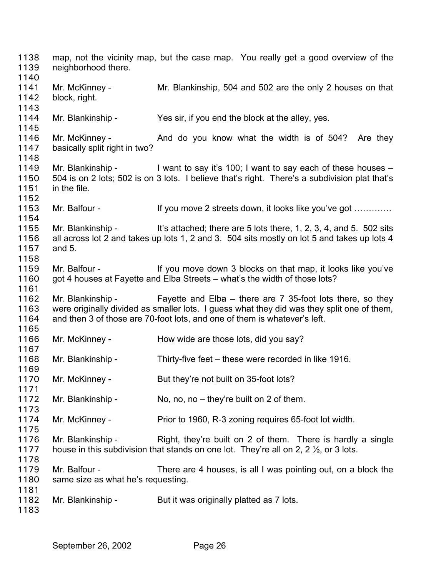map, not the vicinity map, but the case map. You really get a good overview of the neighborhood there. Mr. McKinney - Mr. Blankinship, 504 and 502 are the only 2 houses on that block, right. Mr. Blankinship - Yes sir, if you end the block at the alley, yes. Mr. McKinney - And do you know what the width is of 504? Are they basically split right in two? Mr. Blankinship - I want to say it's 100; I want to say each of these houses – 504 is on 2 lots; 502 is on 3 lots. I believe that's right. There's a subdivision plat that's in the file. Mr. Balfour - If you move 2 streets down, it looks like you've got ............. Mr. Blankinship - It's attached; there are 5 lots there, 1, 2, 3, 4, and 5. 502 sits all across lot 2 and takes up lots 1, 2 and 3. 504 sits mostly on lot 5 and takes up lots 4 and 5. Mr. Balfour - If you move down 3 blocks on that map, it looks like you've got 4 houses at Fayette and Elba Streets – what's the width of those lots? Mr. Blankinship - Fayette and Elba – there are 7 35-foot lots there, so they were originally divided as smaller lots. I guess what they did was they split one of them, and then 3 of those are 70-foot lots, and one of them is whatever's left. Mr. McKinney - How wide are those lots, did you say? Mr. Blankinship - Thirty-five feet – these were recorded in like 1916. Mr. McKinney - But they're not built on 35-foot lots? Mr. Blankinship - No, no, no – they're built on 2 of them. Mr. McKinney - Prior to 1960, R-3 zoning requires 65-foot lot width. Mr. Blankinship - Right, they're built on 2 of them. There is hardly a single house in this subdivision that stands on one lot. They're all on 2, 2 ½, or 3 lots. Mr. Balfour - There are 4 houses, is all I was pointing out, on a block the same size as what he's requesting. Mr. Blankinship - But it was originally platted as 7 lots.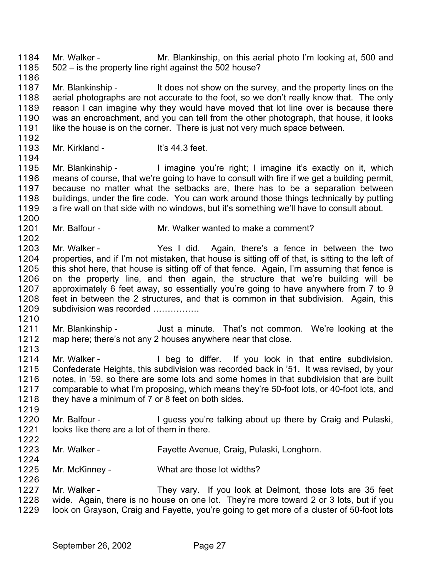Mr. Walker - Mr. Blankinship, on this aerial photo I'm looking at, 500 and 502 – is the property line right against the 502 house? 1184 1185 1186

1187 1188 1189 1190 1191 Mr. Blankinship - It does not show on the survey, and the property lines on the aerial photographs are not accurate to the foot, so we don't really know that. The only reason I can imagine why they would have moved that lot line over is because there was an encroachment, and you can tell from the other photograph, that house, it looks like the house is on the corner. There is just not very much space between.

1192 1193

1194

1200

1202

Mr. Kirkland - It's 44.3 feet.

1195 1196 1197 1198 1199 Mr. Blankinship - I imagine you're right; I imagine it's exactly on it, which means of course, that we're going to have to consult with fire if we get a building permit, because no matter what the setbacks are, there has to be a separation between buildings, under the fire code. You can work around those things technically by putting a fire wall on that side with no windows, but it's something we'll have to consult about.

1201 Mr. Balfour - Mr. Walker wanted to make a comment?

1203 1204 1205 1206 1207 1208 1209 Mr. Walker - The Yes I did. Again, there's a fence in between the two properties, and if I'm not mistaken, that house is sitting off of that, is sitting to the left of this shot here, that house is sitting off of that fence. Again, I'm assuming that fence is on the property line, and then again, the structure that we're building will be approximately 6 feet away, so essentially you're going to have anywhere from 7 to 9 feet in between the 2 structures, and that is common in that subdivision. Again, this subdivision was recorded ...............

1210

1211 1212 1213 Mr. Blankinship - Just a minute. That's not common. We're looking at the map here; there's not any 2 houses anywhere near that close.

1214 1215 1216 1217 1218 Mr. Walker - The Bushington differ. If you look in that entire subdivision, Confederate Heights, this subdivision was recorded back in '51. It was revised, by your notes, in '59, so there are some lots and some homes in that subdivision that are built comparable to what I'm proposing, which means they're 50-foot lots, or 40-foot lots, and they have a minimum of 7 or 8 feet on both sides.

- 1220 1221 Mr. Balfour - The University ou're talking about up there by Craig and Pulaski, looks like there are a lot of them in there.
- 1222

1224

1226

1219

- 1223 Mr. Walker - Fayette Avenue, Craig, Pulaski, Longhorn.
- 1225 Mr. McKinney - What are those lot widths?

1227 1228 1229 Mr. Walker - They vary. If you look at Delmont, those lots are 35 feet wide. Again, there is no house on one lot. They're more toward 2 or 3 lots, but if you look on Grayson, Craig and Fayette, you're going to get more of a cluster of 50-foot lots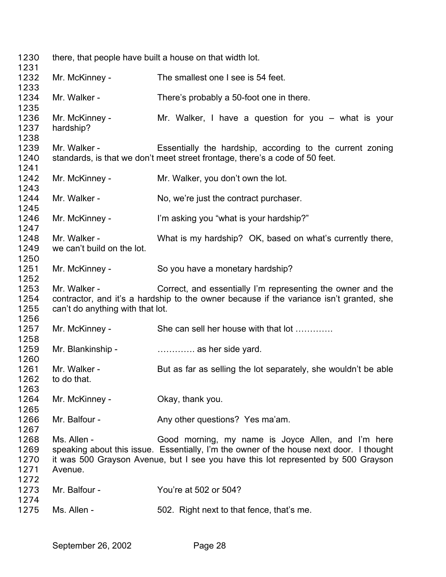| 1230                         |                                                  | there, that people have built a house on that width lot.                                                                                                                                                                           |
|------------------------------|--------------------------------------------------|------------------------------------------------------------------------------------------------------------------------------------------------------------------------------------------------------------------------------------|
| 1231<br>1232                 | Mr. McKinney -                                   | The smallest one I see is 54 feet.                                                                                                                                                                                                 |
| 1233                         |                                                  |                                                                                                                                                                                                                                    |
| 1234<br>1235                 | Mr. Walker -                                     | There's probably a 50-foot one in there.                                                                                                                                                                                           |
| 1236<br>1237                 | Mr. McKinney -<br>hardship?                      | Mr. Walker, I have a question for you $-$ what is your                                                                                                                                                                             |
| 1238<br>1239<br>1240         | Mr. Walker -                                     | Essentially the hardship, according to the current zoning<br>standards, is that we don't meet street frontage, there's a code of 50 feet.                                                                                          |
| 1241<br>1242<br>1243         | Mr. McKinney -                                   | Mr. Walker, you don't own the lot.                                                                                                                                                                                                 |
| 1244<br>1245                 | Mr. Walker -                                     | No, we're just the contract purchaser.                                                                                                                                                                                             |
| 1246<br>1247                 | Mr. McKinney -                                   | I'm asking you "what is your hardship?"                                                                                                                                                                                            |
| 1248<br>1249<br>1250         | Mr. Walker -<br>we can't build on the lot.       | What is my hardship? OK, based on what's currently there,                                                                                                                                                                          |
| 1251<br>1252                 | Mr. McKinney -                                   | So you have a monetary hardship?                                                                                                                                                                                                   |
| 1253<br>1254<br>1255<br>1256 | Mr. Walker -<br>can't do anything with that lot. | Correct, and essentially I'm representing the owner and the<br>contractor, and it's a hardship to the owner because if the variance isn't granted, she                                                                             |
| 1257<br>1258                 | Mr. McKinney -                                   | She can sell her house with that lot                                                                                                                                                                                               |
| 1259<br>1260                 | Mr. Blankinship -                                | as her side yard.                                                                                                                                                                                                                  |
| 1261<br>1262<br>1263         | Mr. Walker -<br>to do that.                      | But as far as selling the lot separately, she wouldn't be able                                                                                                                                                                     |
| 1264<br>1265                 | Mr. McKinney -                                   | Okay, thank you.                                                                                                                                                                                                                   |
| 1266<br>1267                 | Mr. Balfour -                                    | Any other questions? Yes ma'am.                                                                                                                                                                                                    |
| 1268<br>1269<br>1270<br>1271 | Ms. Allen -<br>Avenue.                           | Good morning, my name is Joyce Allen, and I'm here<br>speaking about this issue. Essentially, I'm the owner of the house next door. I thought<br>it was 500 Grayson Avenue, but I see you have this lot represented by 500 Grayson |
| 1272<br>1273<br>1274         | Mr. Balfour -                                    | You're at 502 or 504?                                                                                                                                                                                                              |
| 1275                         | Ms. Allen -                                      | 502. Right next to that fence, that's me.                                                                                                                                                                                          |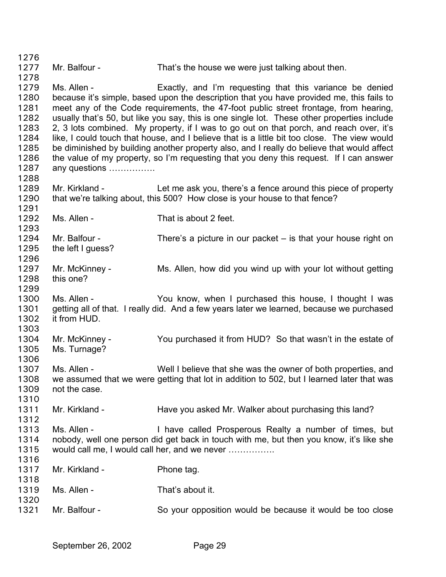1276 1277 1278 1279 1280 1281 1282 1283 1284 1285 1286 1287 1288 1289 1290 1291 1292 1293 1294 1295 1296 1297 1298 1299 1300 1301 1302 1303 1304 1305 1306 1307 1308 1309 1310 1311 1312 1313 1314 1315 1316 1317 1318 1319 1320 1321 Mr. Balfour - That's the house we were just talking about then. Ms. Allen - Exactly, and I'm requesting that this variance be denied because it's simple, based upon the description that you have provided me, this fails to meet any of the Code requirements, the 47-foot public street frontage, from hearing, usually that's 50, but like you say, this is one single lot. These other properties include 2, 3 lots combined. My property, if I was to go out on that porch, and reach over, it's like, I could touch that house, and I believe that is a little bit too close. The view would be diminished by building another property also, and I really do believe that would affect the value of my property, so I'm requesting that you deny this request. If I can answer any questions ……………. Mr. Kirkland - Let me ask you, there's a fence around this piece of property that we're talking about, this 500? How close is your house to that fence? Ms. Allen - That is about 2 feet. Mr. Balfour - There's a picture in our packet – is that your house right on the left I guess? Mr. McKinney - Ms. Allen, how did you wind up with your lot without getting this one? Ms. Allen - The You know, when I purchased this house, I thought I was getting all of that. I really did. And a few years later we learned, because we purchased it from HUD. Mr. McKinney - You purchased it from HUD? So that wasn't in the estate of Ms. Turnage? Ms. Allen - Well I believe that she was the owner of both properties, and we assumed that we were getting that lot in addition to 502, but I learned later that was not the case. Mr. Kirkland - Have you asked Mr. Walker about purchasing this land? Ms. Allen - Thave called Prosperous Realty a number of times, but nobody, well one person did get back in touch with me, but then you know, it's like she would call me, I would call her, and we never ……………. Mr. Kirkland - Phone tag. Ms. Allen - That's about it. Mr. Balfour - So your opposition would be because it would be too close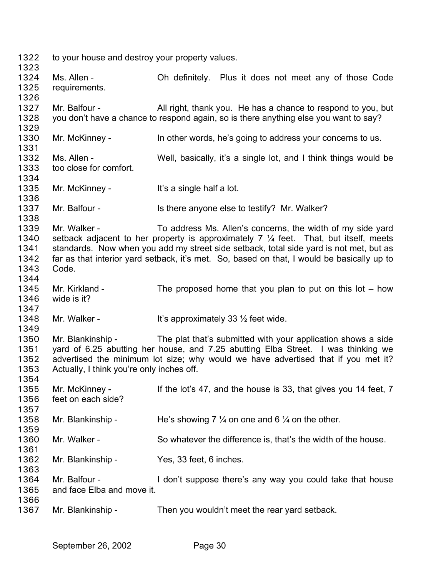to your house and destroy your property values.

 Ms. Allen - Oh definitely. Plus it does not meet any of those Code requirements.

 Mr. Balfour - All right, thank you. He has a chance to respond to you, but you don't have a chance to respond again, so is there anything else you want to say?

 Mr. McKinney - In other words, he's going to address your concerns to us.

 Ms. Allen - Well, basically, it's a single lot, and I think things would be too close for comfort.

 Mr. McKinney - It's a single half a lot.

 Mr. Balfour - Is there anyone else to testify? Mr. Walker?

 Mr. Walker - To address Ms. Allen's concerns, the width of my side yard setback adjacent to her property is approximately  $7\frac{1}{4}$  feet. That, but itself, meets standards. Now when you add my street side setback, total side yard is not met, but as far as that interior yard setback, it's met. So, based on that, I would be basically up to Code.

 Mr. Kirkland - The proposed home that you plan to put on this lot – how wide is it?

 Mr. Walker -  $\qquad \qquad$  It's approximately 33  $\frac{1}{2}$  feet wide.

 Mr. Blankinship - The plat that's submitted with your application shows a side yard of 6.25 abutting her house, and 7.25 abutting Elba Street. I was thinking we advertised the minimum lot size; why would we have advertised that if you met it? Actually, I think you're only inches off.

 Mr. McKinney - If the lot's 47, and the house is 33, that gives you 14 feet, 7 feet on each side? Mr. Blankinship - He's showing 7  $\frac{1}{4}$  on one and 6  $\frac{1}{4}$  on the other. Mr. Walker - So whatever the difference is, that's the width of the house. Mr. Blankinship - Yes, 33 feet, 6 inches. Mr. Balfour - **I** don't suppose there's any way you could take that house and face Elba and move it.

 Mr. Blankinship - Then you wouldn't meet the rear yard setback.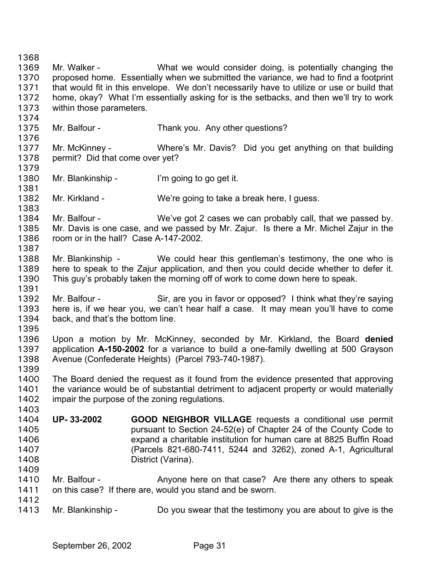1368 1369 1370 1371 1372 1373 1374 1375 1376 1377 1378 1379 1380 1381 1382 1383 1384 1385 1386 1387 1388 1389 1390 1391 1392 1393 1394 1395 1396 1397 1398 1399 1400 1401 1402 1403 1404 1405 1406 1407 1408 1409 1410 1411 1412 1413 Mr. Walker - **What we would consider doing, is potentially changing the** proposed home. Essentially when we submitted the variance, we had to find a footprint that would fit in this envelope. We don't necessarily have to utilize or use or build that home, okay? What I'm essentially asking for is the setbacks, and then we'll try to work within those parameters. Mr. Balfour - Thank you. Any other questions? Mr. McKinney - Where's Mr. Davis? Did you get anything on that building permit? Did that come over yet? Mr. Blankinship - I'm going to go get it. Mr. Kirkland - We're going to take a break here, I guess. Mr. Balfour - We've got 2 cases we can probably call, that we passed by. Mr. Davis is one case, and we passed by Mr. Zajur. Is there a Mr. Michel Zajur in the room or in the hall? Case A-147-2002. Mr. Blankinship - We could hear this gentleman's testimony, the one who is here to speak to the Zajur application, and then you could decide whether to defer it. This guy's probably taken the morning off of work to come down here to speak. Mr. Balfour - Sir, are you in favor or opposed? I think what they're saying here is, if we hear you, we can't hear half a case. It may mean you'll have to come back, and that's the bottom line. Upon a motion by Mr. McKinney, seconded by Mr. Kirkland, the Board **denied** application **A-150-2002** for a variance to build a one-family dwelling at 500 Grayson Avenue (Confederate Heights) (Parcel 793-740-1987). The Board denied the request as it found from the evidence presented that approving the variance would be of substantial detriment to adjacent property or would materially impair the purpose of the zoning regulations. **UP- 33-2002 GOOD NEIGHBOR VILLAGE** requests a conditional use permit pursuant to Section 24-52(e) of Chapter 24 of the County Code to expand a charitable institution for human care at 8825 Buffin Road (Parcels 821-680-7411, 5244 and 3262), zoned A-1, Agricultural District (Varina). Mr. Balfour - **Anyone here on that case?** Are there any others to speak on this case? If there are, would you stand and be sworn. Mr. Blankinship - Do you swear that the testimony you are about to give is the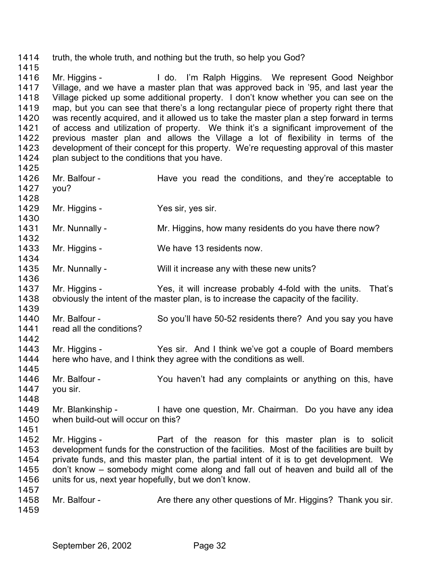1414 truth, the whole truth, and nothing but the truth, so help you God? 1415 1416 1417 1418 1419 1420 1421 1422 1423 1424 1425 1426 1427 1428 1429 1430 1431 1432 1433 1434 1435 1436 1437 1438 1439 1440 1441 1442 1443 1444 1445 1446 1447 1448 1449 1450 1451 1452 1453 1454 1455 1456 1457 1458 1459 Mr. Higgins - I do. I'm Ralph Higgins. We represent Good Neighbor Village, and we have a master plan that was approved back in '95, and last year the Village picked up some additional property. I don't know whether you can see on the map, but you can see that there's a long rectangular piece of property right there that was recently acquired, and it allowed us to take the master plan a step forward in terms of access and utilization of property. We think it's a significant improvement of the previous master plan and allows the Village a lot of flexibility in terms of the development of their concept for this property. We're requesting approval of this master plan subject to the conditions that you have. Mr. Balfour - Have you read the conditions, and they're acceptable to you? Mr. Higgins - Yes sir, yes sir. Mr. Nunnally - Mr. Higgins, how many residents do you have there now? Mr. Higgins - We have 13 residents now. Mr. Nunnally - Will it increase any with these new units? Mr. Higgins - Yes, it will increase probably 4-fold with the units. That's obviously the intent of the master plan, is to increase the capacity of the facility. Mr. Balfour - So you'll have 50-52 residents there? And you say you have read all the conditions? Mr. Higgins - Yes sir. And I think we've got a couple of Board members here who have, and I think they agree with the conditions as well. Mr. Balfour - The You haven't had any complaints or anything on this, have you sir. Mr. Blankinship - I have one question, Mr. Chairman. Do you have any idea when build-out will occur on this? Mr. Higgins - Part of the reason for this master plan is to solicit development funds for the construction of the facilities. Most of the facilities are built by private funds, and this master plan, the partial intent of it is to get development. We don't know – somebody might come along and fall out of heaven and build all of the units for us, next year hopefully, but we don't know. Mr. Balfour - Are there any other questions of Mr. Higgins? Thank you sir.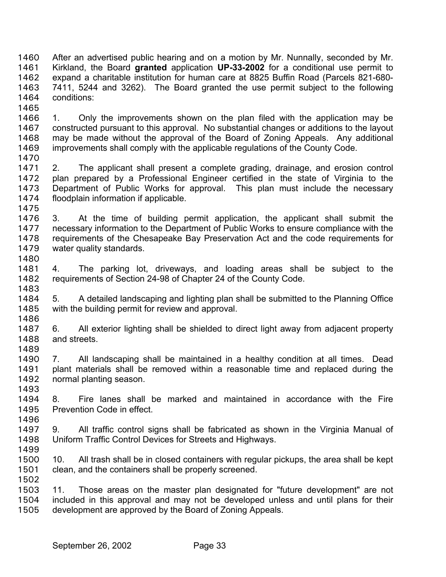After an advertised public hearing and on a motion by Mr. Nunnally, seconded by Mr. Kirkland, the Board **granted** application **UP-33-2002** for a conditional use permit to expand a charitable institution for human care at 8825 Buffin Road (Parcels 821-680- 7411, 5244 and 3262). The Board granted the use permit subject to the following conditions: 1460 1461 1462 1463 1464 1465

1466 1467 1468 1469 1470 1. Only the improvements shown on the plan filed with the application may be constructed pursuant to this approval. No substantial changes or additions to the layout may be made without the approval of the Board of Zoning Appeals. Any additional improvements shall comply with the applicable regulations of the County Code.

1471 1472 1473 1474 1475 2. The applicant shall present a complete grading, drainage, and erosion control plan prepared by a Professional Engineer certified in the state of Virginia to the Department of Public Works for approval. This plan must include the necessary floodplain information if applicable.

1476 1477 1478 1479 1480 3. At the time of building permit application, the applicant shall submit the necessary information to the Department of Public Works to ensure compliance with the requirements of the Chesapeake Bay Preservation Act and the code requirements for water quality standards.

1481 1482 1483 4. The parking lot, driveways, and loading areas shall be subject to the requirements of Section 24-98 of Chapter 24 of the County Code.

1484 1485 1486 5. A detailed landscaping and lighting plan shall be submitted to the Planning Office with the building permit for review and approval.

1487 1488 1489 6. All exterior lighting shall be shielded to direct light away from adjacent property and streets.

1490 1491 1492 1493 7. All landscaping shall be maintained in a healthy condition at all times. Dead plant materials shall be removed within a reasonable time and replaced during the normal planting season.

1494 1495 8. Fire lanes shall be marked and maintained in accordance with the Fire Prevention Code in effect.

1497 1498 1499 9. All traffic control signs shall be fabricated as shown in the Virginia Manual of Uniform Traffic Control Devices for Streets and Highways.

1500 1501 10. All trash shall be in closed containers with regular pickups, the area shall be kept clean, and the containers shall be properly screened.

1503 1504 1505 11. Those areas on the master plan designated for "future development" are not included in this approval and may not be developed unless and until plans for their development are approved by the Board of Zoning Appeals.

1496

1502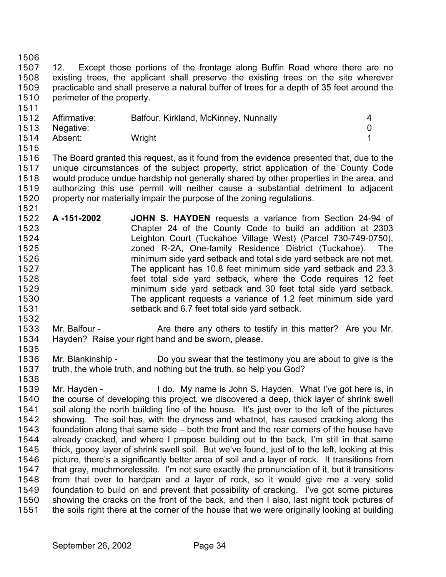1506

1511

1507 1508 1509 1510 12. Except those portions of the frontage along Buffin Road where there are no existing trees, the applicant shall preserve the existing trees on the site wherever practicable and shall preserve a natural buffer of trees for a depth of 35 feet around the perimeter of the property.

|      | 1512 Affirmative: | Balfour, Kirkland, McKinney, Nunnally |  |
|------|-------------------|---------------------------------------|--|
| 1513 | Negative:         |                                       |  |
| 1514 | Absent:           | Wright                                |  |

1515

1521

1516 1517 1518 1519 1520 The Board granted this request, as it found from the evidence presented that, due to the unique circumstances of the subject property, strict application of the County Code would produce undue hardship not generally shared by other properties in the area, and authorizing this use permit will neither cause a substantial detriment to adjacent property nor materially impair the purpose of the zoning regulations.

- 1522 1523 1524 1525 1526 1527 1528 1529 1530 1531 **A -151-2002 JOHN S. HAYDEN** requests a variance from Section 24-94 of Chapter 24 of the County Code to build an addition at 2303 Leighton Court (Tuckahoe Village West) (Parcel 730-749-0750), zoned R-2A, One-family Residence District (Tuckahoe). The minimum side yard setback and total side yard setback are not met. The applicant has 10.8 feet minimum side yard setback and 23.3 feet total side yard setback, where the Code requires 12 feet minimum side yard setback and 30 feet total side yard setback. The applicant requests a variance of 1.2 feet minimum side yard setback and 6.7 feet total side yard setback.
- 1533 1534 1535 Mr. Balfour - **Are there any others to testify in this matter?** Are you Mr. Hayden? Raise your right hand and be sworn, please.
- 1536 1537 Mr. Blankinship - Do you swear that the testimony you are about to give is the truth, the whole truth, and nothing but the truth, so help you God?
- 1538

1532

1539 1540 1541 1542 1543 1544 1545 1546 1547 1548 1549 1550 1551 Mr. Hayden - I do. My name is John S. Hayden. What I've got here is, in the course of developing this project, we discovered a deep, thick layer of shrink swell soil along the north building line of the house. It's just over to the left of the pictures showing. The soil has, with the dryness and whatnot, has caused cracking along the foundation along that same side – both the front and the rear corners of the house have already cracked, and where I propose building out to the back, I'm still in that same thick, gooey layer of shrink swell soil. But we've found, just of to the left, looking at this picture, there's a significantly better area of soil and a layer of rock. It transitions from that gray, muchmorelessite. I'm not sure exactly the pronunciation of it, but it transitions from that over to hardpan and a layer of rock, so it would give me a very solid foundation to build on and prevent that possibility of cracking. I've got some pictures showing the cracks on the front of the back, and then I also, last night took pictures of the soils right there at the corner of the house that we were originally looking at building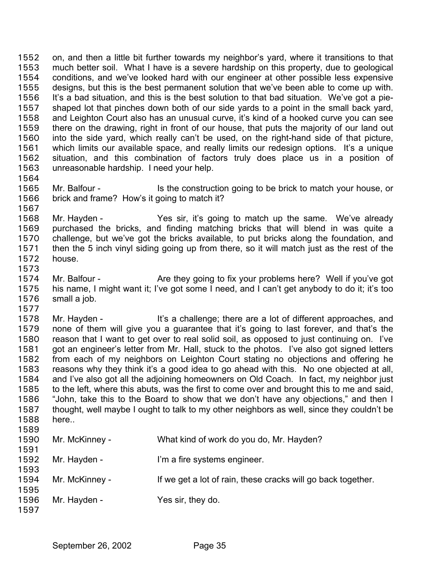on, and then a little bit further towards my neighbor's yard, where it transitions to that much better soil. What I have is a severe hardship on this property, due to geological conditions, and we've looked hard with our engineer at other possible less expensive designs, but this is the best permanent solution that we've been able to come up with. It's a bad situation, and this is the best solution to that bad situation. We've got a pieshaped lot that pinches down both of our side yards to a point in the small back yard, and Leighton Court also has an unusual curve, it's kind of a hooked curve you can see there on the drawing, right in front of our house, that puts the majority of our land out into the side yard, which really can't be used, on the right-hand side of that picture, which limits our available space, and really limits our redesign options. It's a unique situation, and this combination of factors truly does place us in a position of unreasonable hardship. I need your help. 1552 1553 1554 1555 1556 1557 1558 1559 1560 1561 1562 1563 1564

1565 1566 1567 Mr. Balfour - Is the construction going to be brick to match your house, or brick and frame? How's it going to match it?

1568 1569 1570 1571 1572 1573 Mr. Hayden - Yes sir, it's going to match up the same. We've already purchased the bricks, and finding matching bricks that will blend in was quite a challenge, but we've got the bricks available, to put bricks along the foundation, and then the 5 inch vinyl siding going up from there, so it will match just as the rest of the house.

1574 1575 1576 Mr. Balfour - Are they going to fix your problems here? Well if you've got his name, I might want it; I've got some I need, and I can't get anybody to do it; it's too small a job.

1577 1578 1579 1580 1581 1582 1583 1584 1585 1586 1587 1588 1589 Mr. Hayden - It's a challenge; there are a lot of different approaches, and none of them will give you a guarantee that it's going to last forever, and that's the reason that I want to get over to real solid soil, as opposed to just continuing on. I've got an engineer's letter from Mr. Hall, stuck to the photos. I've also got signed letters from each of my neighbors on Leighton Court stating no objections and offering he reasons why they think it's a good idea to go ahead with this. No one objected at all, and I've also got all the adjoining homeowners on Old Coach. In fact, my neighbor just to the left, where this abuts, was the first to come over and brought this to me and said, "John, take this to the Board to show that we don't have any objections," and then I thought, well maybe I ought to talk to my other neighbors as well, since they couldn't be here..

| 1590<br>1591 | Mr. McKinney - | What kind of work do you do, Mr. Hayden?                     |
|--------------|----------------|--------------------------------------------------------------|
| 1592         | Mr. Hayden -   | I'm a fire systems engineer.                                 |
| 1593<br>1594 | Mr. McKinney - | If we get a lot of rain, these cracks will go back together. |
| 1595         |                |                                                              |
| 1596<br>1597 | Mr. Hayden -   | Yes sir, they do.                                            |